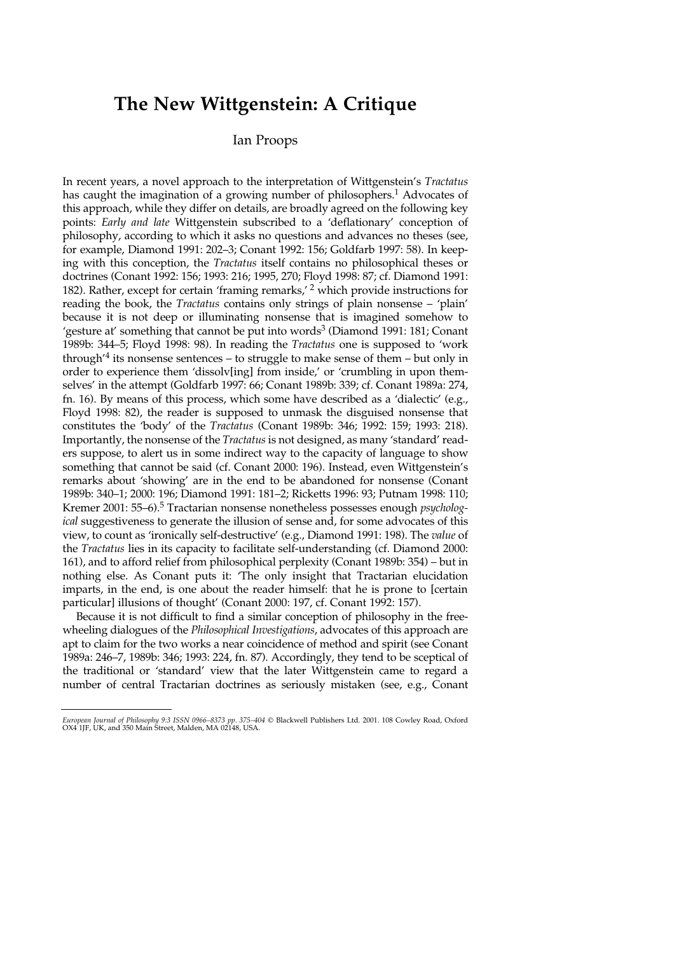# **The New Wittgenstein: A Critique**

# Ian Proops

In recent years, a novel approach to the interpretation of Wittgenstein's *Tractatus* has caught the imagination of a growing number of philosophers.<sup>1</sup> Advocates of this approach, while they differ on details, are broadly agreed on the following key points: *Early and late* Wittgenstein subscribed to a 'deflationary' conception of philosophy, according to which it asks no questions and advances no theses (see, for example, Diamond 1991: 202–3; Conant 1992: 156; Goldfarb 1997: 58). In keeping with this conception, the *Tractatus* itself contains no philosophical theses or doctrines (Conant 1992: 156; 1993: 216; 1995, 270; Floyd 1998: 87; cf. Diamond 1991: 182). Rather, except for certain 'framing remarks,' <sup>2</sup> which provide instructions for reading the book, the *Tractatus* contains only strings of plain nonsense – 'plain' because it is not deep or illuminating nonsense that is imagined somehow to 'gesture at' something that cannot be put into words<sup>3</sup> (Diamond 1991: 181; Conant 1989b: 344–5; Floyd 1998: 98). In reading the *Tractatus* one is supposed to 'work through<sup> $4$ </sup> its nonsense sentences – to struggle to make sense of them – but only in order to experience them 'dissolv[ing] from inside,' or 'crumbling in upon themselves' in the attempt (Goldfarb 1997: 66; Conant 1989b: 339; cf. Conant 1989a: 274, fn. 16). By means of this process, which some have described as a 'dialectic' (e.g., Floyd 1998: 82), the reader is supposed to unmask the disguised nonsense that constitutes the 'body' of the *Tractatus* (Conant 1989b: 346; 1992: 159; 1993: 218). Importantly, the nonsense of the *Tractatus* is not designed, as many 'standard' readers suppose, to alert us in some indirect way to the capacity of language to show something that cannot be said (cf. Conant 2000: 196). Instead, even Wittgenstein's remarks about 'showing' are in the end to be abandoned for nonsense (Conant 1989b: 340–1; 2000: 196; Diamond 1991: 181–2; Ricketts 1996: 93; Putnam 1998: 110; Kremer 2001: 55–6).5 Tractarian nonsense nonetheless possesses enough *psychological* suggestiveness to generate the illusion of sense and, for some advocates of this view, to count as 'ironically self-destructive' (e.g., Diamond 1991: 198). The *value* of the *Tractatus* lies in its capacity to facilitate self-understanding (cf. Diamond 2000: 161), and to afford relief from philosophical perplexity (Conant 1989b: 354) – but in nothing else. As Conant puts it: 'The only insight that Tractarian elucidation imparts, in the end, is one about the reader himself: that he is prone to [certain particular] illusions of thought' (Conant 2000: 197, cf. Conant 1992: 157).

Because it is not difficult to find a similar conception of philosophy in the freewheeling dialogues of the *Philosophical Investigations*, advocates of this approach are apt to claim for the two works a near coincidence of method and spirit (see Conant 1989a: 246–7, 1989b: 346; 1993: 224, fn. 87). Accordingly, they tend to be sceptical of the traditional or 'standard' view that the later Wittgenstein came to regard a number of central Tractarian doctrines as seriously mistaken (see, e.g., Conant

E*uropean Journal of Philosophy 9:3 ISSN 0966-8373 pp.* 375–404 © Blackwell Publishers Ltd. 2001. 108 Cowley Road, Oxford<br>OX4 1JF, UK, and 350 Main Street, Malden, MA 02148, USA.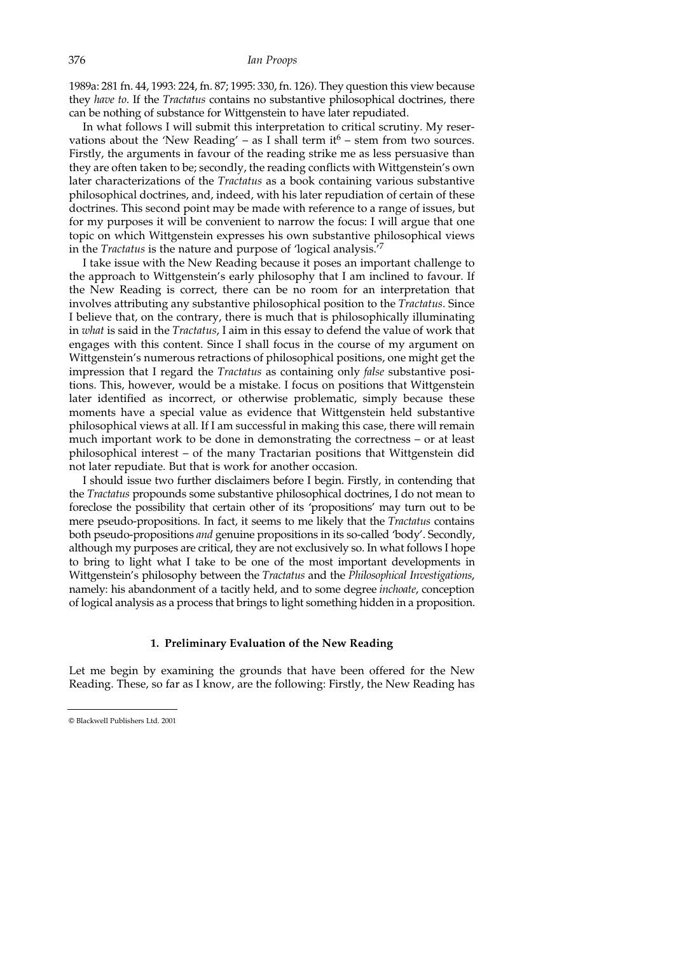1989a: 281 fn. 44, 1993: 224, fn. 87; 1995: 330, fn. 126). They question this view because they *have to*. If the *Tractatus* contains no substantive philosophical doctrines, there can be nothing of substance for Wittgenstein to have later repudiated.

In what follows I will submit this interpretation to critical scrutiny. My reservations about the 'New Reading' – as I shall term it<sup>6</sup> – stem from two sources. Firstly, the arguments in favour of the reading strike me as less persuasive than they are often taken to be; secondly, the reading conflicts with Wittgenstein's own later characterizations of the *Tractatus* as a book containing various substantive philosophical doctrines, and, indeed, with his later repudiation of certain of these doctrines. This second point may be made with reference to a range of issues, but for my purposes it will be convenient to narrow the focus: I will argue that one topic on which Wittgenstein expresses his own substantive philosophical views in the *Tractatus* is the nature and purpose of 'logical analysis.'7

I take issue with the New Reading because it poses an important challenge to the approach to Wittgenstein's early philosophy that I am inclined to favour. If the New Reading is correct, there can be no room for an interpretation that involves attributing any substantive philosophical position to the *Tractatus*. Since I believe that, on the contrary, there is much that is philosophically illuminating in *what* is said in the *Tractatus*, I aim in this essay to defend the value of work that engages with this content. Since I shall focus in the course of my argument on Wittgenstein's numerous retractions of philosophical positions, one might get the impression that I regard the *Tractatus* as containing only *false* substantive positions. This, however, would be a mistake. I focus on positions that Wittgenstein later identified as incorrect, or otherwise problematic, simply because these moments have a special value as evidence that Wittgenstein held substantive philosophical views at all. If I am successful in making this case, there will remain much important work to be done in demonstrating the correctness – or at least philosophical interest – of the many Tractarian positions that Wittgenstein did not later repudiate. But that is work for another occasion.

I should issue two further disclaimers before I begin. Firstly, in contending that the *Tractatus* propounds some substantive philosophical doctrines, I do not mean to foreclose the possibility that certain other of its 'propositions' may turn out to be mere pseudo-propositions. In fact, it seems to me likely that the *Tractatus* contains both pseudo-propositions *and* genuine propositions in its so-called 'body'. Secondly, although my purposes are critical, they are not exclusively so. In what follows I hope to bring to light what I take to be one of the most important developments in Wittgenstein's philosophy between the *Tractatus* and the *Philosophical Investigations*, namely: his abandonment of a tacitly held, and to some degree *inchoate*, conception of logical analysis as a process that brings to light something hidden in a proposition.

## **1. Preliminary Evaluation of the New Reading**

Let me begin by examining the grounds that have been offered for the New Reading. These, so far as I know, are the following: Firstly, the New Reading has

ã Blackwell Publishers Ltd. 2001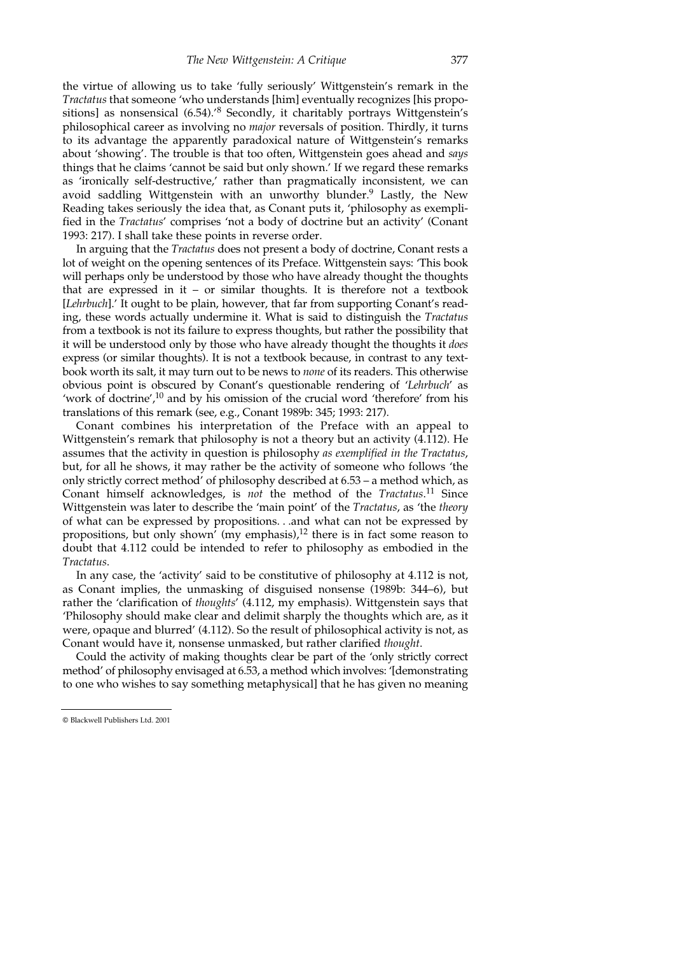the virtue of allowing us to take 'fully seriously' Wittgenstein's remark in the *Tractatus* that someone 'who understands [him] eventually recognizes [his propositions] as nonsensical (6.54).'8 Secondly, it charitably portrays Wittgenstein's philosophical career as involving no *major* reversals of position. Thirdly, it turns to its advantage the apparently paradoxical nature of Wittgenstein's remarks about 'showing'. The trouble is that too often, Wittgenstein goes ahead and *says* things that he claims 'cannot be said but only shown.' If we regard these remarks as 'ironically self-destructive,' rather than pragmatically inconsistent, we can avoid saddling Wittgenstein with an unworthy blunder.<sup>9</sup> Lastly, the New Reading takes seriously the idea that, as Conant puts it, 'philosophy as exemplified in the *Tractatus*' comprises 'not a body of doctrine but an activity' (Conant 1993: 217). I shall take these points in reverse order.

In arguing that the *Tractatus* does not present a body of doctrine, Conant rests a lot of weight on the opening sentences of its Preface. Wittgenstein says: 'This book will perhaps only be understood by those who have already thought the thoughts that are expressed in it – or similar thoughts. It is therefore not a textbook [*Lehrbuch*].' It ought to be plain, however, that far from supporting Conant's reading, these words actually undermine it. What is said to distinguish the *Tractatus* from a textbook is not its failure to express thoughts, but rather the possibility that it will be understood only by those who have already thought the thoughts it *does* express (or similar thoughts). It is not a textbook because, in contrast to any textbook worth its salt, it may turn out to be news to *none* of its readers. This otherwise obvious point is obscured by Conant's questionable rendering of '*Lehrbuch*' as 'work of doctrine', $10$  and by his omission of the crucial word 'therefore' from his translations of this remark (see, e.g., Conant 1989b: 345; 1993: 217).

Conant combines his interpretation of the Preface with an appeal to Wittgenstein's remark that philosophy is not a theory but an activity (4.112). He assumes that the activity in question is philosophy *as exemplified in the Tractatus*, but, for all he shows, it may rather be the activity of someone who follows 'the only strictly correct method' of philosophy described at 6.53 – a method which, as Conant himself acknowledges, is *not* the method of the *Tractatus*. <sup>11</sup> Since Wittgenstein was later to describe the 'main point' of the *Tractatus*, as 'the *theory* of what can be expressed by propositions. . .and what can not be expressed by propositions, but only shown' (my emphasis), $12$  there is in fact some reason to doubt that 4.112 could be intended to refer to philosophy as embodied in the *Tractatus*.

In any case, the 'activity' said to be constitutive of philosophy at 4.112 is not, as Conant implies, the unmasking of disguised nonsense (1989b: 344–6), but rather the 'clarification of *thoughts*' (4.112, my emphasis). Wittgenstein says that 'Philosophy should make clear and delimit sharply the thoughts which are, as it were, opaque and blurred' (4.112). So the result of philosophical activity is not, as Conant would have it, nonsense unmasked, but rather clarified *thought*.

Could the activity of making thoughts clear be part of the 'only strictly correct method' of philosophy envisaged at 6.53, a method which involves: '[demonstrating to one who wishes to say something metaphysical] that he has given no meaning

ã Blackwell Publishers Ltd. 2001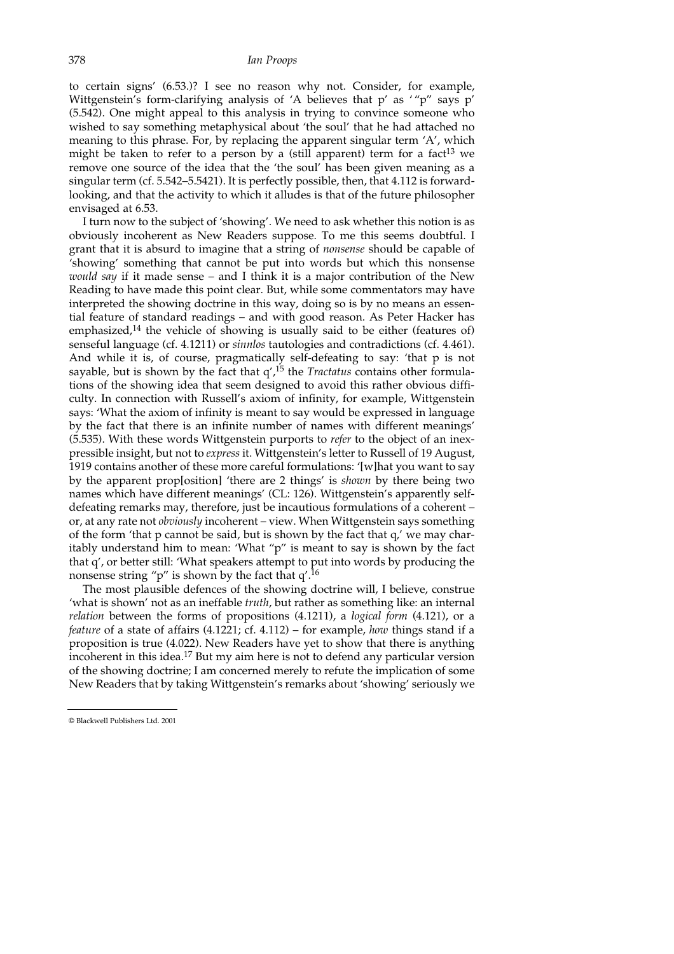to certain signs' (6.53.)? I see no reason why not. Consider, for example, Wittgenstein's form-clarifying analysis of 'A believes that p' as ' "p" says p' (5.542). One might appeal to this analysis in trying to convince someone who wished to say something metaphysical about 'the soul' that he had attached no meaning to this phrase. For, by replacing the apparent singular term 'A', which might be taken to refer to a person by a (still apparent) term for a fact<sup>13</sup> we remove one source of the idea that the 'the soul' has been given meaning as a singular term (cf. 5.542–5.5421). It is perfectly possible, then, that 4.112 is forwardlooking, and that the activity to which it alludes is that of the future philosopher envisaged at 6.53.

I turn now to the subject of 'showing'. We need to ask whether this notion is as obviously incoherent as New Readers suppose. To me this seems doubtful. I grant that it is absurd to imagine that a string of *nonsense* should be capable of 'showing' something that cannot be put into words but which this nonsense *would say* if it made sense – and I think it is a major contribution of the New Reading to have made this point clear. But, while some commentators may have interpreted the showing doctrine in this way, doing so is by no means an essential feature of standard readings – and with good reason. As Peter Hacker has emphasized, $14$  the vehicle of showing is usually said to be either (features of) senseful language (cf. 4.1211) or *sinnlos* tautologies and contradictions (cf. 4.461). And while it is, of course, pragmatically self-defeating to say: 'that p is not sayable, but is shown by the fact that q',15 the *Tractatus* contains other formulations of the showing idea that seem designed to avoid this rather obvious difficulty. In connection with Russell's axiom of infinity, for example, Wittgenstein says: 'What the axiom of infinity is meant to say would be expressed in language by the fact that there is an infinite number of names with different meanings' (5.535). With these words Wittgenstein purports to *refer* to the object of an inexpressible insight, but not to *express* it. Wittgenstein's letter to Russell of 19 August, 1919 contains another of these more careful formulations: '[w]hat you want to say by the apparent prop[osition] 'there are 2 things' is *shown* by there being two names which have different meanings' (CL: 126). Wittgenstein's apparently selfdefeating remarks may, therefore, just be incautious formulations of a coherent – or, at any rate not *obviously* incoherent – view. When Wittgenstein says something of the form 'that p cannot be said, but is shown by the fact that q,' we may charitably understand him to mean: 'What "p" is meant to say is shown by the fact that q', or better still: 'What speakers attempt to put into words by producing the nonsense string "p" is shown by the fact that  $q'$ .<sup>16</sup>

The most plausible defences of the showing doctrine will, I believe, construe 'what is shown' not as an ineffable *truth*, but rather as something like: an internal *relation* between the forms of propositions (4.1211), a *logical form* (4.121), or a *feature* of a state of affairs (4.1221; cf. 4.112) – for example, *how* things stand if a proposition is true (4.022). New Readers have yet to show that there is anything incoherent in this idea.<sup>17</sup> But my aim here is not to defend any particular version of the showing doctrine; I am concerned merely to refute the implication of some New Readers that by taking Wittgenstein's remarks about 'showing' seriously we

ã Blackwell Publishers Ltd. 2001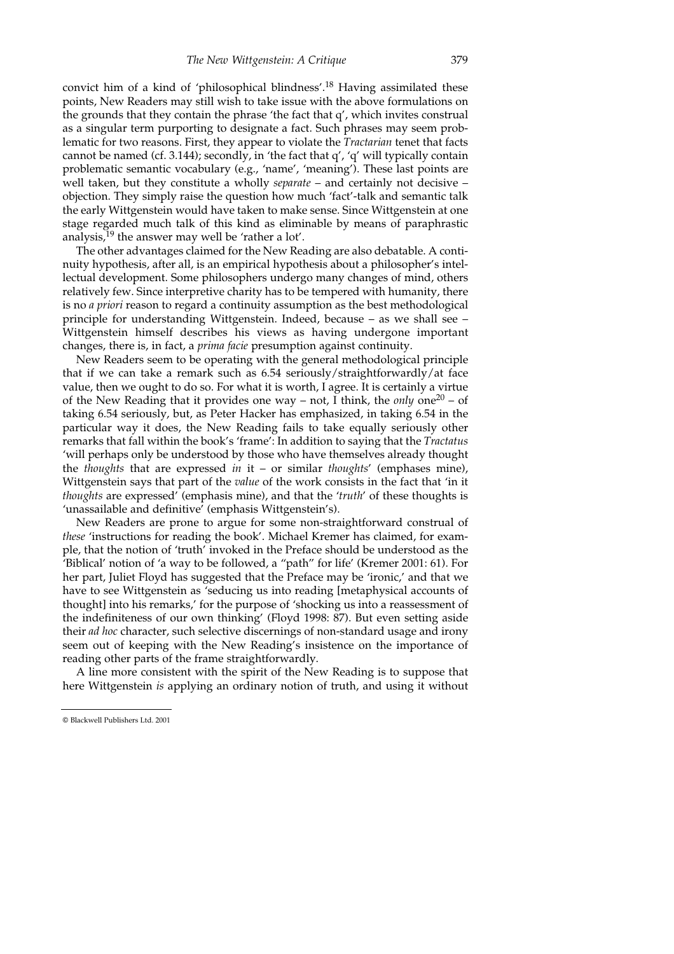convict him of a kind of 'philosophical blindness'.18 Having assimilated these points, New Readers may still wish to take issue with the above formulations on the grounds that they contain the phrase 'the fact that q', which invites construal as a singular term purporting to designate a fact. Such phrases may seem problematic for two reasons. First, they appear to violate the *Tractarian* tenet that facts cannot be named (cf. 3.144); secondly, in 'the fact that  $q'$ , ' $q'$ ' will typically contain problematic semantic vocabulary (e.g., 'name', 'meaning'). These last points are well taken, but they constitute a wholly *separate* – and certainly not decisive – objection. They simply raise the question how much 'fact'-talk and semantic talk the early Wittgenstein would have taken to make sense. Since Wittgenstein at one stage regarded much talk of this kind as eliminable by means of paraphrastic analysis, $19$  the answer may well be 'rather a lot'.

The other advantages claimed for the New Reading are also debatable. A continuity hypothesis, after all, is an empirical hypothesis about a philosopher's intellectual development. Some philosophers undergo many changes of mind, others relatively few. Since interpretive charity has to be tempered with humanity, there is no *a priori* reason to regard a continuity assumption as the best methodological principle for understanding Wittgenstein. Indeed, because – as we shall see – Wittgenstein himself describes his views as having undergone important changes, there is, in fact, a *prima facie* presumption against continuity.

New Readers seem to be operating with the general methodological principle that if we can take a remark such as 6.54 seriously/straightforwardly/at face value, then we ought to do so. For what it is worth, I agree. It is certainly a virtue of the New Reading that it provides one way – not, I think, the *only* one<sup>20</sup> – of taking 6.54 seriously, but, as Peter Hacker has emphasized, in taking 6.54 in the particular way it does, the New Reading fails to take equally seriously other remarks that fall within the book's 'frame': In addition to saying that the *Tractatus* 'will perhaps only be understood by those who have themselves already thought the *thoughts* that are expressed *in* it – or similar *thoughts*' (emphases mine), Wittgenstein says that part of the *value* of the work consists in the fact that 'in it *thoughts* are expressed' (emphasis mine), and that the '*truth*' of these thoughts is 'unassailable and definitive' (emphasis Wittgenstein's).

New Readers are prone to argue for some non-straightforward construal of *these* 'instructions for reading the book'. Michael Kremer has claimed, for example, that the notion of 'truth' invoked in the Preface should be understood as the 'Biblical' notion of 'a way to be followed, a "path" for life' (Kremer 2001: 61). For her part, Juliet Floyd has suggested that the Preface may be 'ironic,' and that we have to see Wittgenstein as 'seducing us into reading [metaphysical accounts of thought] into his remarks,' for the purpose of 'shocking us into a reassessment of the indefiniteness of our own thinking' (Floyd 1998: 87). But even setting aside their *ad hoc* character, such selective discernings of non-standard usage and irony seem out of keeping with the New Reading's insistence on the importance of reading other parts of the frame straightforwardly.

A line more consistent with the spirit of the New Reading is to suppose that here Wittgenstein *is* applying an ordinary notion of truth, and using it without

ã Blackwell Publishers Ltd. 2001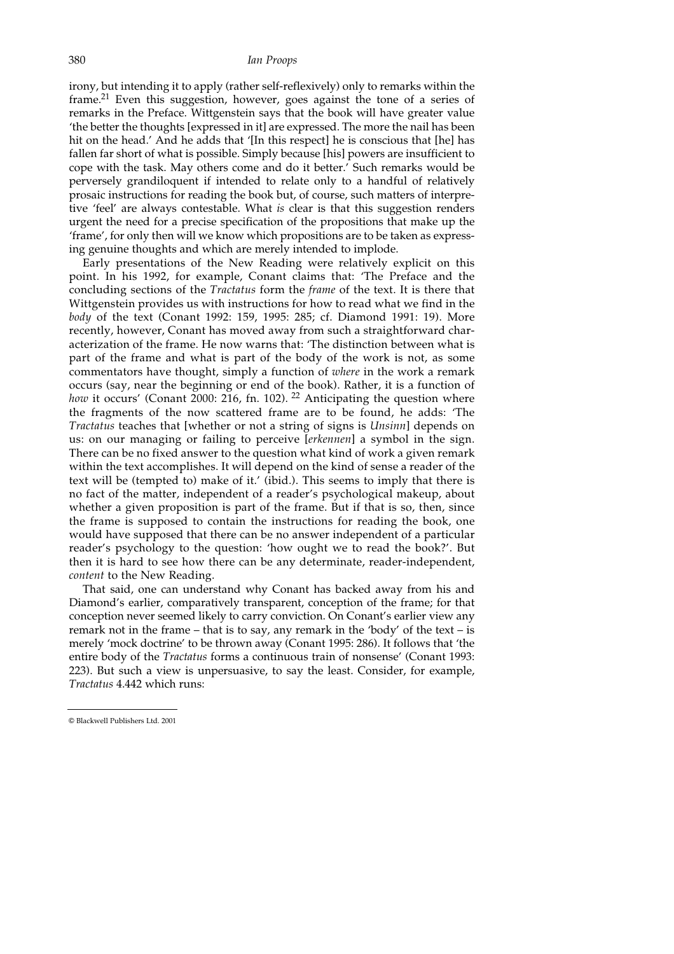irony, but intending it to apply (rather self-reflexively) only to remarks within the frame.21 Even this suggestion, however, goes against the tone of a series of remarks in the Preface. Wittgenstein says that the book will have greater value 'the better the thoughts [expressed in it] are expressed. The more the nail has been hit on the head.' And he adds that '[In this respect] he is conscious that [he] has fallen far short of what is possible. Simply because [his] powers are insufficient to cope with the task. May others come and do it better.' Such remarks would be perversely grandiloquent if intended to relate only to a handful of relatively prosaic instructions for reading the book but, of course, such matters of interpretive 'feel' are always contestable. What *is* clear is that this suggestion renders urgent the need for a precise specification of the propositions that make up the 'frame', for only then will we know which propositions are to be taken as expressing genuine thoughts and which are merely intended to implode.

Early presentations of the New Reading were relatively explicit on this point. In his 1992, for example, Conant claims that: 'The Preface and the concluding sections of the *Tractatus* form the *frame* of the text. It is there that Wittgenstein provides us with instructions for how to read what we find in the *body* of the text (Conant 1992: 159, 1995: 285; cf. Diamond 1991: 19). More recently, however, Conant has moved away from such a straightforward characterization of the frame. He now warns that: 'The distinction between what is part of the frame and what is part of the body of the work is not, as some commentators have thought, simply a function of *where* in the work a remark occurs (say, near the beginning or end of the book). Rather, it is a function of *how* it occurs' (Conant 2000: 216, fn. 102). <sup>22</sup> Anticipating the question where the fragments of the now scattered frame are to be found, he adds: 'The *Tractatus* teaches that [whether or not a string of signs is *Unsinn*] depends on us: on our managing or failing to perceive [*erkennen*] a symbol in the sign. There can be no fixed answer to the question what kind of work a given remark within the text accomplishes. It will depend on the kind of sense a reader of the text will be (tempted to) make of it.' (ibid.). This seems to imply that there is no fact of the matter, independent of a reader's psychological makeup, about whether a given proposition is part of the frame. But if that is so, then, since the frame is supposed to contain the instructions for reading the book, one would have supposed that there can be no answer independent of a particular reader's psychology to the question: 'how ought we to read the book?'. But then it is hard to see how there can be any determinate, reader-independent, *content* to the New Reading.

That said, one can understand why Conant has backed away from his and Diamond's earlier, comparatively transparent, conception of the frame; for that conception never seemed likely to carry conviction. On Conant's earlier view any remark not in the frame – that is to say, any remark in the 'body' of the text – is merely 'mock doctrine' to be thrown away (Conant 1995: 286). It follows that 'the entire body of the *Tractatus* forms a continuous train of nonsense' (Conant 1993: 223). But such a view is unpersuasive, to say the least. Consider, for example, *Tractatus* 4.442 which runs:

ã Blackwell Publishers Ltd. 2001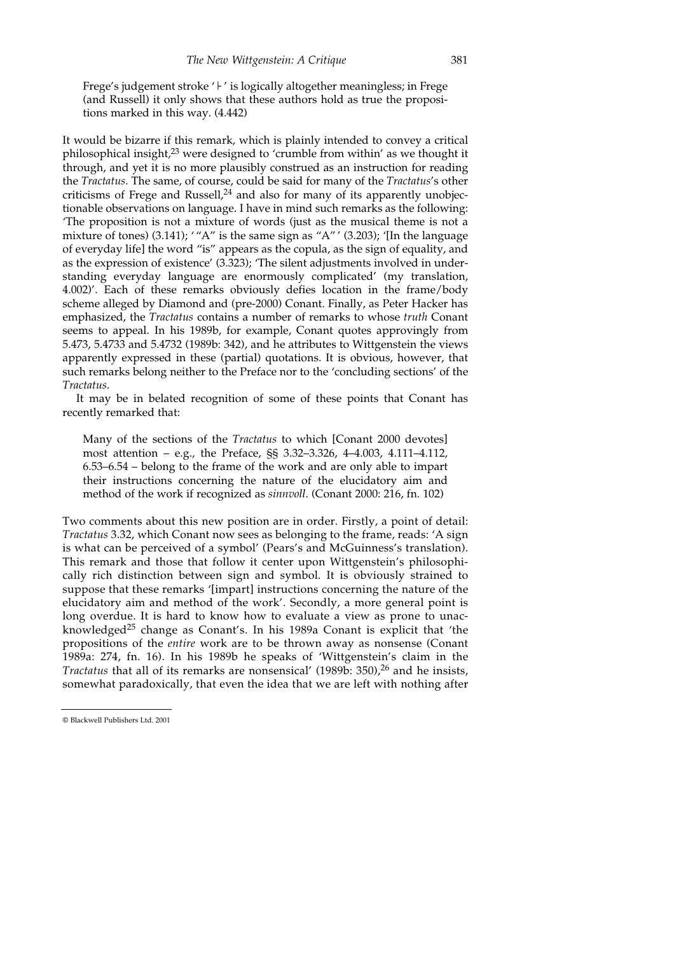Frege's judgement stroke ' $\vdash$ ' is logically altogether meaningless; in Frege (and Russell) it only shows that these authors hold as true the propositions marked in this way. (4.442)

It would be bizarre if this remark, which is plainly intended to convey a critical philosophical insight,<sup>23</sup> were designed to 'crumble from within' as we thought it through, and yet it is no more plausibly construed as an instruction for reading the *Tractatus*. The same, of course, could be said for many of the *Tractatus*'s other criticisms of Frege and Russell, $24$  and also for many of its apparently unobjectionable observations on language. I have in mind such remarks as the following: 'The proposition is not a mixture of words (just as the musical theme is not a mixture of tones) (3.141); '"A" is the same sign as "A"' (3.203); '[In the language of everyday life] the word "is" appears as the copula, as the sign of equality, and as the expression of existence' (3.323); 'The silent adjustments involved in understanding everyday language are enormously complicated' (my translation, 4.002)'. Each of these remarks obviously defies location in the frame/body scheme alleged by Diamond and (pre-2000) Conant. Finally, as Peter Hacker has emphasized, the *Tractatus* contains a number of remarks to whose *truth* Conant seems to appeal. In his 1989b, for example, Conant quotes approvingly from 5.473, 5.4733 and 5.4732 (1989b: 342), and he attributes to Wittgenstein the views apparently expressed in these (partial) quotations. It is obvious, however, that such remarks belong neither to the Preface nor to the 'concluding sections' of the *Tractatus*.

It may be in belated recognition of some of these points that Conant has recently remarked that:

Many of the sections of the *Tractatus* to which [Conant 2000 devotes] most attention – e.g., the Preface, §§ 3.32–3.326, 4–4.003, 4.111–4.112, 6.53–6.54 – belong to the frame of the work and are only able to impart their instructions concerning the nature of the elucidatory aim and method of the work if recognized as *sinnvoll*. (Conant 2000: 216, fn. 102)

Two comments about this new position are in order. Firstly, a point of detail: *Tractatus* 3.32, which Conant now sees as belonging to the frame, reads: 'A sign is what can be perceived of a symbol' (Pears's and McGuinness's translation). This remark and those that follow it center upon Wittgenstein's philosophically rich distinction between sign and symbol. It is obviously strained to suppose that these remarks '[impart] instructions concerning the nature of the elucidatory aim and method of the work'. Secondly, a more general point is long overdue. It is hard to know how to evaluate a view as prone to unacknowledged<sup>25</sup> change as Conant's. In his 1989a Conant is explicit that 'the propositions of the *entire* work are to be thrown away as nonsense (Conant 1989a: 274, fn. 16). In his 1989b he speaks of 'Wittgenstein's claim in the *Tractatus* that all of its remarks are nonsensical' (1989b: 350),<sup>26</sup> and he insists, somewhat paradoxically, that even the idea that we are left with nothing after

ã Blackwell Publishers Ltd. 2001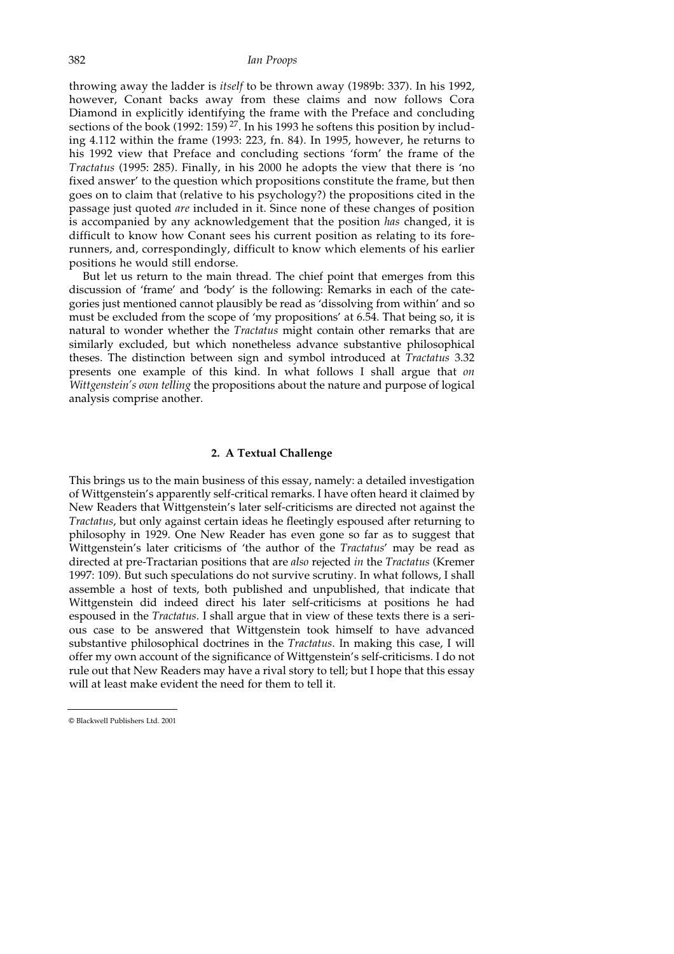throwing away the ladder is *itself* to be thrown away (1989b: 337). In his 1992, however, Conant backs away from these claims and now follows Cora Diamond in explicitly identifying the frame with the Preface and concluding sections of the book (1992: 159)<sup>27</sup>. In his 1993 he softens this position by including 4.112 within the frame (1993: 223, fn. 84). In 1995, however, he returns to his 1992 view that Preface and concluding sections 'form' the frame of the *Tractatus* (1995: 285). Finally, in his 2000 he adopts the view that there is 'no fixed answer' to the question which propositions constitute the frame, but then goes on to claim that (relative to his psychology?) the propositions cited in the passage just quoted *are* included in it. Since none of these changes of position is accompanied by any acknowledgement that the position *has* changed, it is difficult to know how Conant sees his current position as relating to its forerunners, and, correspondingly, difficult to know which elements of his earlier positions he would still endorse.

But let us return to the main thread. The chief point that emerges from this discussion of 'frame' and 'body' is the following: Remarks in each of the categories just mentioned cannot plausibly be read as 'dissolving from within' and so must be excluded from the scope of 'my propositions' at 6.54. That being so, it is natural to wonder whether the *Tractatus* might contain other remarks that are similarly excluded, but which nonetheless advance substantive philosophical theses. The distinction between sign and symbol introduced at *Tractatus* 3.32 presents one example of this kind. In what follows I shall argue that *on Wittgenstein's own telling* the propositions about the nature and purpose of logical analysis comprise another.

## **2. A Textual Challenge**

This brings us to the main business of this essay, namely: a detailed investigation of Wittgenstein's apparently self-critical remarks. I have often heard it claimed by New Readers that Wittgenstein's later self-criticisms are directed not against the *Tractatus*, but only against certain ideas he fleetingly espoused after returning to philosophy in 1929. One New Reader has even gone so far as to suggest that Wittgenstein's later criticisms of 'the author of the *Tractatus*' may be read as directed at pre-Tractarian positions that are *also* rejected *in* the *Tractatus* (Kremer 1997: 109). But such speculations do not survive scrutiny. In what follows, I shall assemble a host of texts, both published and unpublished, that indicate that Wittgenstein did indeed direct his later self-criticisms at positions he had espoused in the *Tractatus*. I shall argue that in view of these texts there is a serious case to be answered that Wittgenstein took himself to have advanced substantive philosophical doctrines in the *Tractatus*. In making this case, I will offer my own account of the significance of Wittgenstein's self-criticisms. I do not rule out that New Readers may have a rival story to tell; but I hope that this essay will at least make evident the need for them to tell it.

ã Blackwell Publishers Ltd. 2001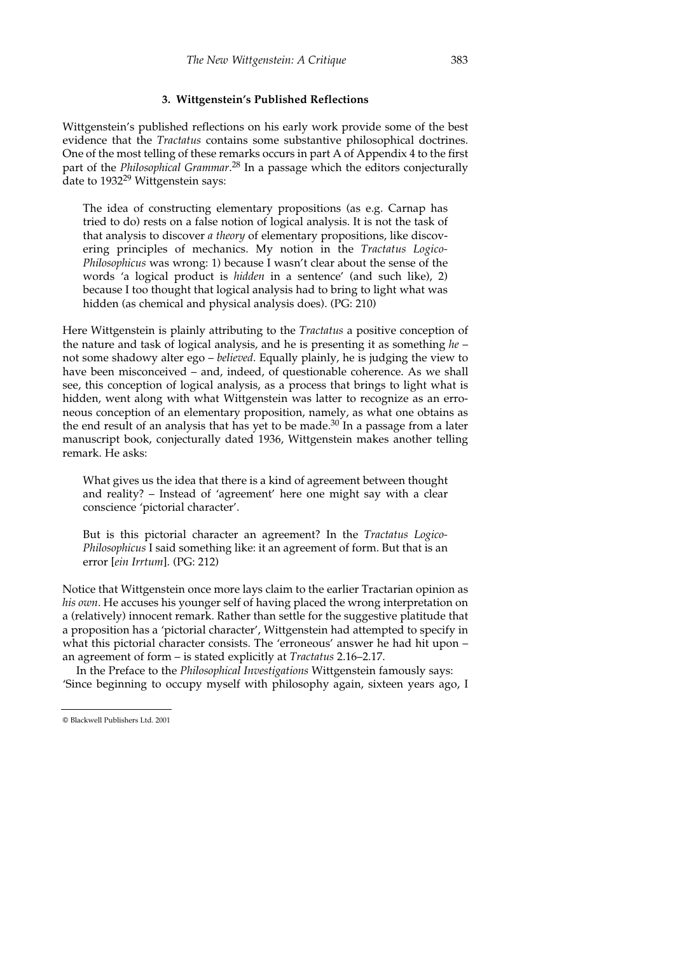# **3. Wittgenstein's Published Reflections**

Wittgenstein's published reflections on his early work provide some of the best evidence that the *Tractatus* contains some substantive philosophical doctrines. One of the most telling of these remarks occurs in part A of Appendix 4 to the first part of the *Philosophical Grammar*. <sup>28</sup> In a passage which the editors conjecturally date to 1932<sup>29</sup> Wittgenstein says:

The idea of constructing elementary propositions (as e.g. Carnap has tried to do) rests on a false notion of logical analysis. It is not the task of that analysis to discover *a theory* of elementary propositions, like discovering principles of mechanics. My notion in the *Tractatus Logico-Philosophicus* was wrong: 1) because I wasn't clear about the sense of the words 'a logical product is *hidden* in a sentence' (and such like), 2) because I too thought that logical analysis had to bring to light what was hidden (as chemical and physical analysis does). (PG: 210)

Here Wittgenstein is plainly attributing to the *Tractatus* a positive conception of the nature and task of logical analysis, and he is presenting it as something *he* – not some shadowy alter ego – *believed*. Equally plainly, he is judging the view to have been misconceived – and, indeed, of questionable coherence. As we shall see, this conception of logical analysis, as a process that brings to light what is hidden, went along with what Wittgenstein was latter to recognize as an erroneous conception of an elementary proposition, namely, as what one obtains as the end result of an analysis that has yet to be made. $30$  In a passage from a later manuscript book, conjecturally dated 1936, Wittgenstein makes another telling remark. He asks:

What gives us the idea that there is a kind of agreement between thought and reality? – Instead of 'agreement' here one might say with a clear conscience 'pictorial character'.

But is this pictorial character an agreement? In the *Tractatus Logico-Philosophicus* I said something like: it an agreement of form. But that is an error [*ein Irrtum*]. (PG: 212)

Notice that Wittgenstein once more lays claim to the earlier Tractarian opinion as *his own*. He accuses his younger self of having placed the wrong interpretation on a (relatively) innocent remark. Rather than settle for the suggestive platitude that a proposition has a 'pictorial character', Wittgenstein had attempted to specify in what this pictorial character consists. The 'erroneous' answer he had hit upon – an agreement of form – is stated explicitly at *Tractatus* 2.16–2.17.

In the Preface to the *Philosophical Investigations* Wittgenstein famously says: 'Since beginning to occupy myself with philosophy again, sixteen years ago, I

ã Blackwell Publishers Ltd. 2001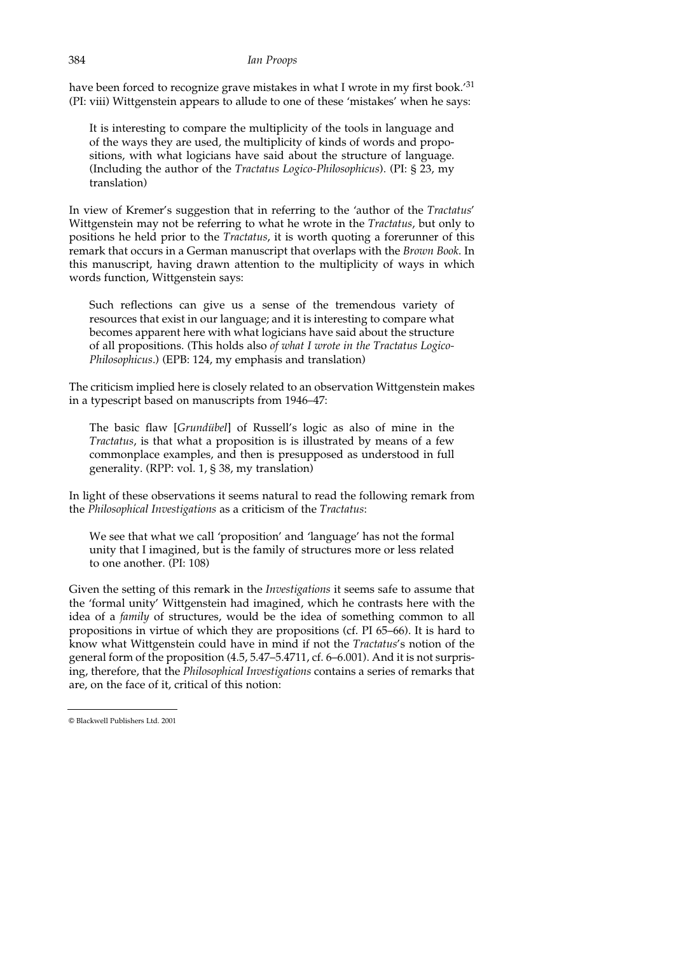have been forced to recognize grave mistakes in what I wrote in my first book.<sup>731</sup> (PI: viii) Wittgenstein appears to allude to one of these 'mistakes' when he says:

It is interesting to compare the multiplicity of the tools in language and of the ways they are used, the multiplicity of kinds of words and propositions, with what logicians have said about the structure of language. (Including the author of the *Tractatus Logico-Philosophicus*). (PI: § 23, my translation)

In view of Kremer's suggestion that in referring to the 'author of the *Tractatus*' Wittgenstein may not be referring to what he wrote in the *Tractatus*, but only to positions he held prior to the *Tractatus*, it is worth quoting a forerunner of this remark that occurs in a German manuscript that overlaps with the *Brown Book*. In this manuscript, having drawn attention to the multiplicity of ways in which words function, Wittgenstein says:

Such reflections can give us a sense of the tremendous variety of resources that exist in our language; and it is interesting to compare what becomes apparent here with what logicians have said about the structure of all propositions. (This holds also *of what I wrote in the Tractatus Logico-Philosophicus*.) (EPB: 124, my emphasis and translation)

The criticism implied here is closely related to an observation Wittgenstein makes in a typescript based on manuscripts from 1946–47:

The basic flaw [*Grundübel*] of Russell's logic as also of mine in the *Tractatus*, is that what a proposition is is illustrated by means of a few commonplace examples, and then is presupposed as understood in full generality. (RPP: vol. 1, § 38, my translation)

In light of these observations it seems natural to read the following remark from the *Philosophical Investigations* as a criticism of the *Tractatus*:

We see that what we call 'proposition' and 'language' has not the formal unity that I imagined, but is the family of structures more or less related to one another. (PI: 108)

Given the setting of this remark in the *Investigations* it seems safe to assume that the 'formal unity' Wittgenstein had imagined, which he contrasts here with the idea of a *family* of structures, would be the idea of something common to all propositions in virtue of which they are propositions (cf. PI 65–66). It is hard to know what Wittgenstein could have in mind if not the *Tractatus*'s notion of the general form of the proposition (4.5, 5.47–5.4711, cf. 6–6.001). And it is not surprising, therefore, that the *Philosophical Investigations* contains a series of remarks that are, on the face of it, critical of this notion:

ã Blackwell Publishers Ltd. 2001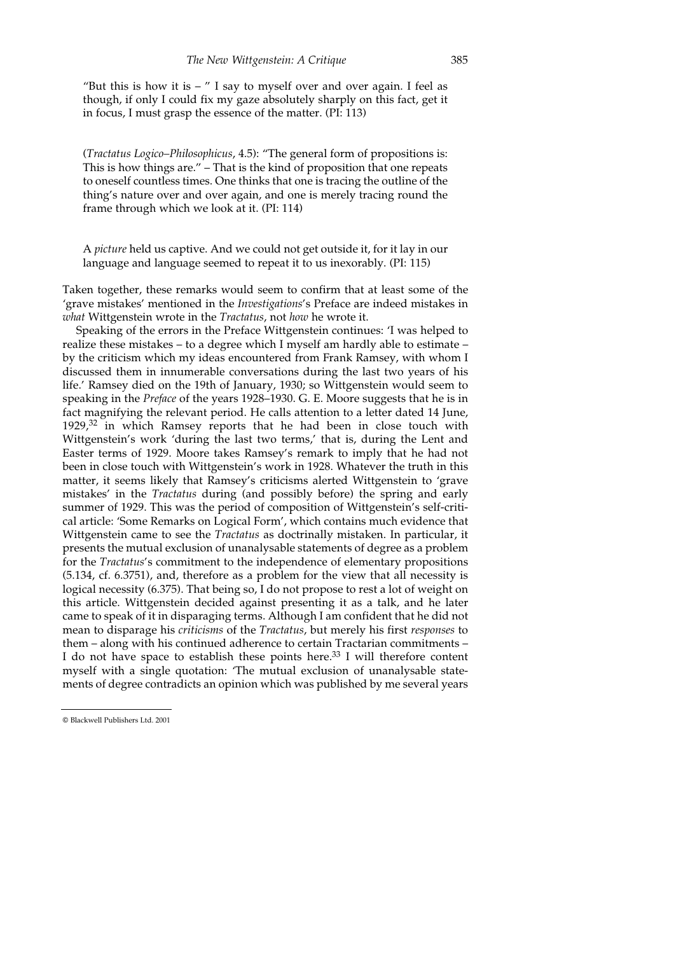"But this is how it is  $-$  " I say to myself over and over again. I feel as though, if only I could fix my gaze absolutely sharply on this fact, get it in focus, I must grasp the essence of the matter. (PI: 113)

(*Tractatus Logico–Philosophicus*, 4.5): "The general form of propositions is: This is how things are." – That is the kind of proposition that one repeats to oneself countless times. One thinks that one is tracing the outline of the thing's nature over and over again, and one is merely tracing round the frame through which we look at it. (PI: 114)

A *picture* held us captive. And we could not get outside it, for it lay in our language and language seemed to repeat it to us inexorably. (PI: 115)

Taken together, these remarks would seem to confirm that at least some of the 'grave mistakes' mentioned in the *Investigations*'s Preface are indeed mistakes in *what* Wittgenstein wrote in the *Tractatus*, not *how* he wrote it.

Speaking of the errors in the Preface Wittgenstein continues: 'I was helped to realize these mistakes – to a degree which I myself am hardly able to estimate – by the criticism which my ideas encountered from Frank Ramsey, with whom I discussed them in innumerable conversations during the last two years of his life.' Ramsey died on the 19th of January, 1930; so Wittgenstein would seem to speaking in the *Preface* of the years 1928–1930. G. E. Moore suggests that he is in fact magnifying the relevant period. He calls attention to a letter dated 14 June, 1929, $32$  in which Ramsey reports that he had been in close touch with Wittgenstein's work 'during the last two terms,' that is, during the Lent and Easter terms of 1929. Moore takes Ramsey's remark to imply that he had not been in close touch with Wittgenstein's work in 1928. Whatever the truth in this matter, it seems likely that Ramsey's criticisms alerted Wittgenstein to 'grave mistakes' in the *Tractatus* during (and possibly before) the spring and early summer of 1929. This was the period of composition of Wittgenstein's self-critical article: 'Some Remarks on Logical Form', which contains much evidence that Wittgenstein came to see the *Tractatus* as doctrinally mistaken. In particular, it presents the mutual exclusion of unanalysable statements of degree as a problem for the *Tractatus*'s commitment to the independence of elementary propositions (5.134, cf. 6.3751), and, therefore as a problem for the view that all necessity is logical necessity (6.375). That being so, I do not propose to rest a lot of weight on this article. Wittgenstein decided against presenting it as a talk, and he later came to speak of it in disparaging terms. Although I am confident that he did not mean to disparage his *criticisms* of the *Tractatus*, but merely his first *responses* to them – along with his continued adherence to certain Tractarian commitments – I do not have space to establish these points here.<sup>33</sup> I will therefore content myself with a single quotation: 'The mutual exclusion of unanalysable statements of degree contradicts an opinion which was published by me several years

ã Blackwell Publishers Ltd. 2001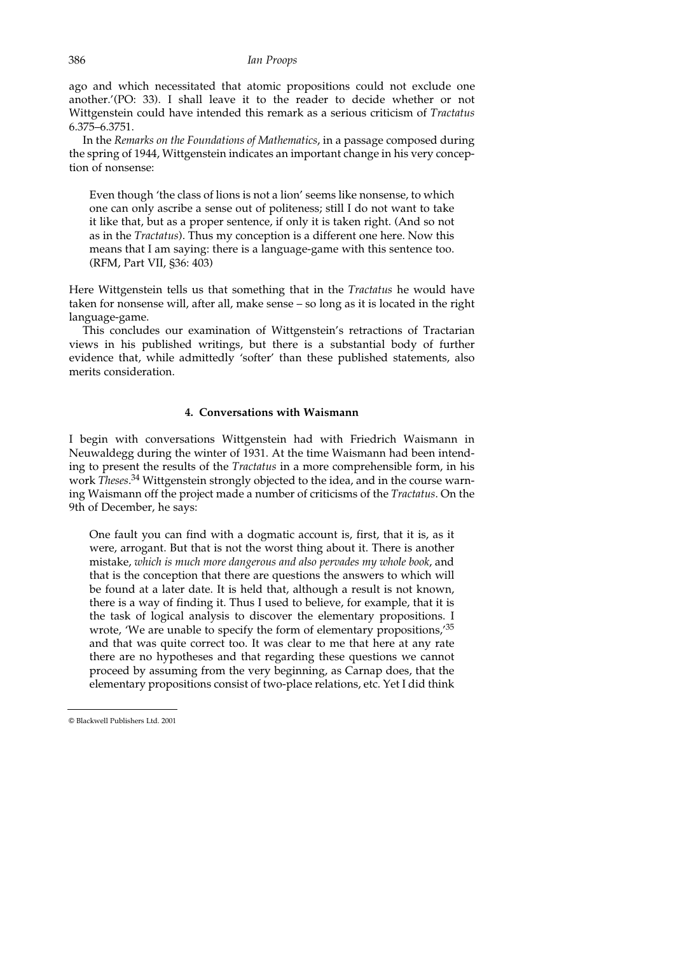ago and which necessitated that atomic propositions could not exclude one another.'(PO: 33). I shall leave it to the reader to decide whether or not Wittgenstein could have intended this remark as a serious criticism of *Tractatus* 6.375–6.3751.

In the *Remarks on the Foundations of Mathematics*, in a passage composed during the spring of 1944, Wittgenstein indicates an important change in his very conception of nonsense:

Even though 'the class of lions is not a lion' seems like nonsense, to which one can only ascribe a sense out of politeness; still I do not want to take it like that, but as a proper sentence, if only it is taken right. (And so not as in the *Tractatus*). Thus my conception is a different one here. Now this means that I am saying: there is a language-game with this sentence too. (RFM, Part VII, §36: 403)

Here Wittgenstein tells us that something that in the *Tractatus* he would have taken for nonsense will, after all, make sense – so long as it is located in the right language-game.

This concludes our examination of Wittgenstein's retractions of Tractarian views in his published writings, but there is a substantial body of further evidence that, while admittedly 'softer' than these published statements, also merits consideration.

## **4. Conversations with Waismann**

I begin with conversations Wittgenstein had with Friedrich Waismann in Neuwaldegg during the winter of 1931. At the time Waismann had been intending to present the results of the *Tractatus* in a more comprehensible form, in his work *Theses*. <sup>34</sup> Wittgenstein strongly objected to the idea, and in the course warning Waismann off the project made a number of criticisms of the *Tractatus*. On the 9th of December, he says:

One fault you can find with a dogmatic account is, first, that it is, as it were, arrogant. But that is not the worst thing about it. There is another mistake, *which is much more dangerous and also pervades my whole book*, and that is the conception that there are questions the answers to which will be found at a later date. It is held that, although a result is not known, there is a way of finding it. Thus I used to believe, for example, that it is the task of logical analysis to discover the elementary propositions. I wrote, 'We are unable to specify the form of elementary propositions,<sup>'35</sup> and that was quite correct too. It was clear to me that here at any rate there are no hypotheses and that regarding these questions we cannot proceed by assuming from the very beginning, as Carnap does, that the elementary propositions consist of two-place relations, etc. Yet I did think

ã Blackwell Publishers Ltd. 2001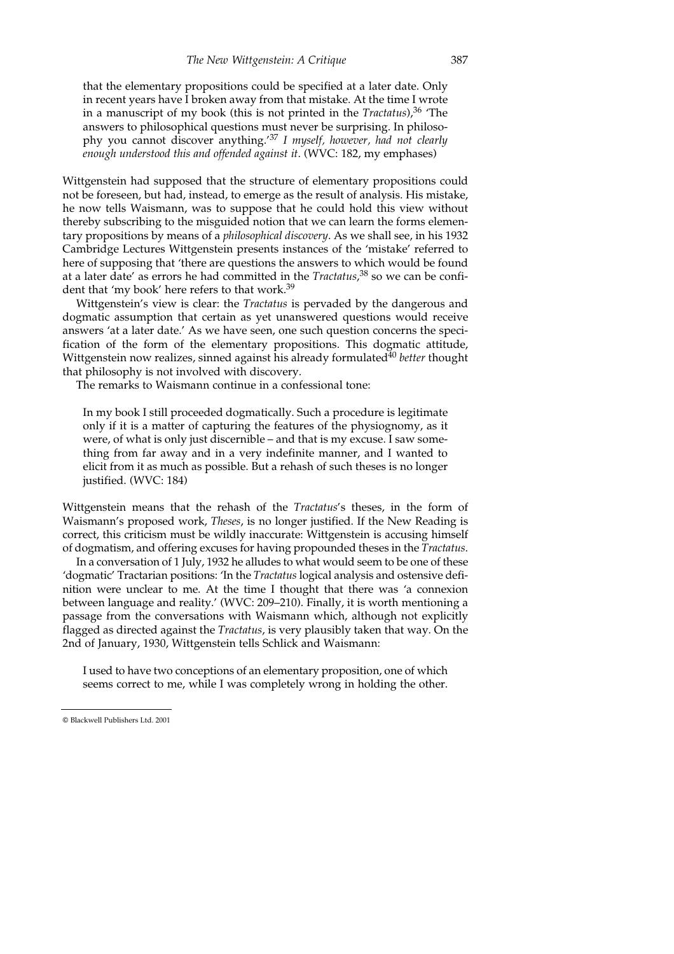that the elementary propositions could be specified at a later date. Only in recent years have I broken away from that mistake. At the time I wrote in a manuscript of my book (this is not printed in the *Tractatus*),<sup>36</sup> The answers to philosophical questions must never be surprising. In philosophy you cannot discover anything.'37 *I myself, however, had not clearly enough understood this and offended against it*. (WVC: 182, my emphases)

Wittgenstein had supposed that the structure of elementary propositions could not be foreseen, but had, instead, to emerge as the result of analysis. His mistake, he now tells Waismann, was to suppose that he could hold this view without thereby subscribing to the misguided notion that we can learn the forms elementary propositions by means of a *philosophical discovery*. As we shall see, in his 1932 Cambridge Lectures Wittgenstein presents instances of the 'mistake' referred to here of supposing that 'there are questions the answers to which would be found at a later date' as errors he had committed in the *Tractatus*, <sup>38</sup> so we can be confident that 'my book' here refers to that work.<sup>39</sup>

Wittgenstein's view is clear: the *Tractatus* is pervaded by the dangerous and dogmatic assumption that certain as yet unanswered questions would receive answers 'at a later date.' As we have seen, one such question concerns the specification of the form of the elementary propositions. This dogmatic attitude, Wittgenstein now realizes, sinned against his already formulated<sup>40</sup> better thought that philosophy is not involved with discovery.

The remarks to Waismann continue in a confessional tone:

In my book I still proceeded dogmatically. Such a procedure is legitimate only if it is a matter of capturing the features of the physiognomy, as it were, of what is only just discernible – and that is my excuse. I saw something from far away and in a very indefinite manner, and I wanted to elicit from it as much as possible. But a rehash of such theses is no longer justified. (WVC: 184)

Wittgenstein means that the rehash of the *Tractatus*'s theses, in the form of Waismann's proposed work, *Theses*, is no longer justified. If the New Reading is correct, this criticism must be wildly inaccurate: Wittgenstein is accusing himself of dogmatism, and offering excuses for having propounded theses in the *Tractatus*.

In a conversation of 1 July, 1932 he alludes to what would seem to be one of these 'dogmatic' Tractarian positions: 'In the *Tractatus* logical analysis and ostensive definition were unclear to me. At the time I thought that there was 'a connexion between language and reality.' (WVC: 209–210). Finally, it is worth mentioning a passage from the conversations with Waismann which, although not explicitly flagged as directed against the *Tractatus*, is very plausibly taken that way. On the 2nd of January, 1930, Wittgenstein tells Schlick and Waismann:

I used to have two conceptions of an elementary proposition, one of which seems correct to me, while I was completely wrong in holding the other.

ã Blackwell Publishers Ltd. 2001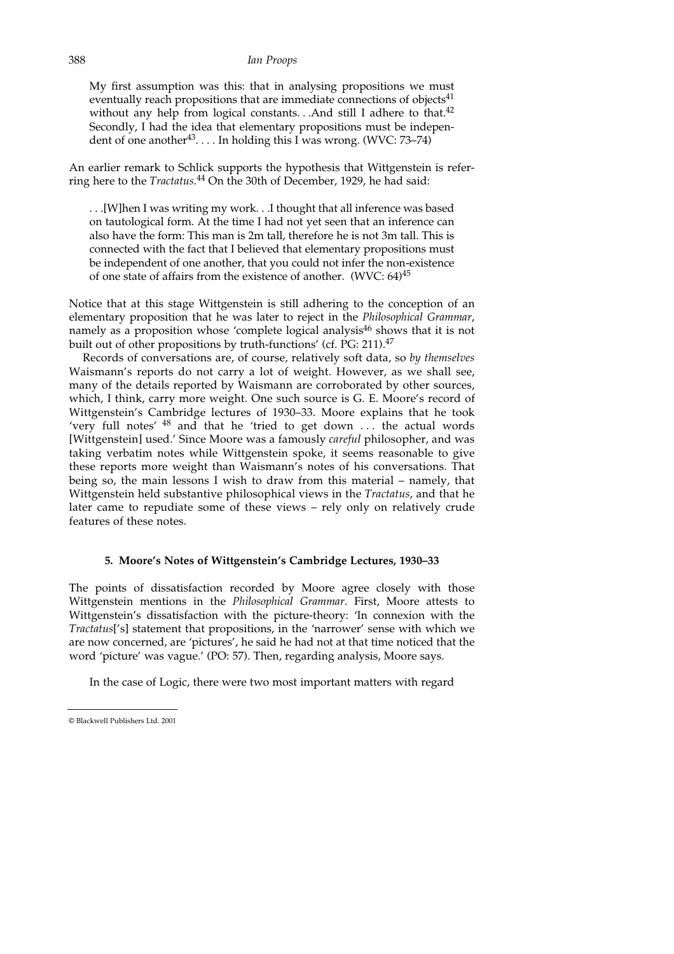## 388 *Ian Proops*

My first assumption was this: that in analysing propositions we must eventually reach propositions that are immediate connections of objects<sup>41</sup> without any help from logical constants. . . And still I adhere to that.<sup>42</sup> Secondly, I had the idea that elementary propositions must be independent of one another  $43...$  In holding this I was wrong. (WVC: 73–74)

An earlier remark to Schlick supports the hypothesis that Wittgenstein is referring here to the *Tractatus*. <sup>44</sup> On the 30th of December, 1929, he had said:

. . .[W]hen I was writing my work. . .I thought that all inference was based on tautological form. At the time I had not yet seen that an inference can also have the form: This man is 2m tall, therefore he is not 3m tall. This is connected with the fact that I believed that elementary propositions must be independent of one another, that you could not infer the non-existence of one state of affairs from the existence of another. (WVC: 64)45

Notice that at this stage Wittgenstein is still adhering to the conception of an elementary proposition that he was later to reject in the *Philosophical Grammar*, namely as a proposition whose 'complete logical analysis<sup>46</sup> shows that it is not built out of other propositions by truth-functions' (cf. PG: 211).47

Records of conversations are, of course, relatively soft data, so *by themselves* Waismann's reports do not carry a lot of weight. However, as we shall see, many of the details reported by Waismann are corroborated by other sources, which, I think, carry more weight. One such source is G. E. Moore's record of Wittgenstein's Cambridge lectures of 1930–33. Moore explains that he took 'very full notes' <sup>48</sup> and that he 'tried to get down ... the actual words [Wittgenstein] used.' Since Moore was a famously *careful* philosopher, and was taking verbatim notes while Wittgenstein spoke, it seems reasonable to give these reports more weight than Waismann's notes of his conversations. That being so, the main lessons I wish to draw from this material – namely, that Wittgenstein held substantive philosophical views in the *Tractatus*, and that he later came to repudiate some of these views – rely only on relatively crude features of these notes.

# **5. Moore's Notes of Wittgenstein's Cambridge Lectures, 1930–33**

The points of dissatisfaction recorded by Moore agree closely with those Wittgenstein mentions in the *Philosophical Grammar*. First, Moore attests to Wittgenstein's dissatisfaction with the picture-theory: 'In connexion with the *Tractatus*['s] statement that propositions, in the 'narrower' sense with which we are now concerned, are 'pictures', he said he had not at that time noticed that the word 'picture' was vague.' (PO: 57). Then, regarding analysis, Moore says.

In the case of Logic, there were two most important matters with regard

ã Blackwell Publishers Ltd. 2001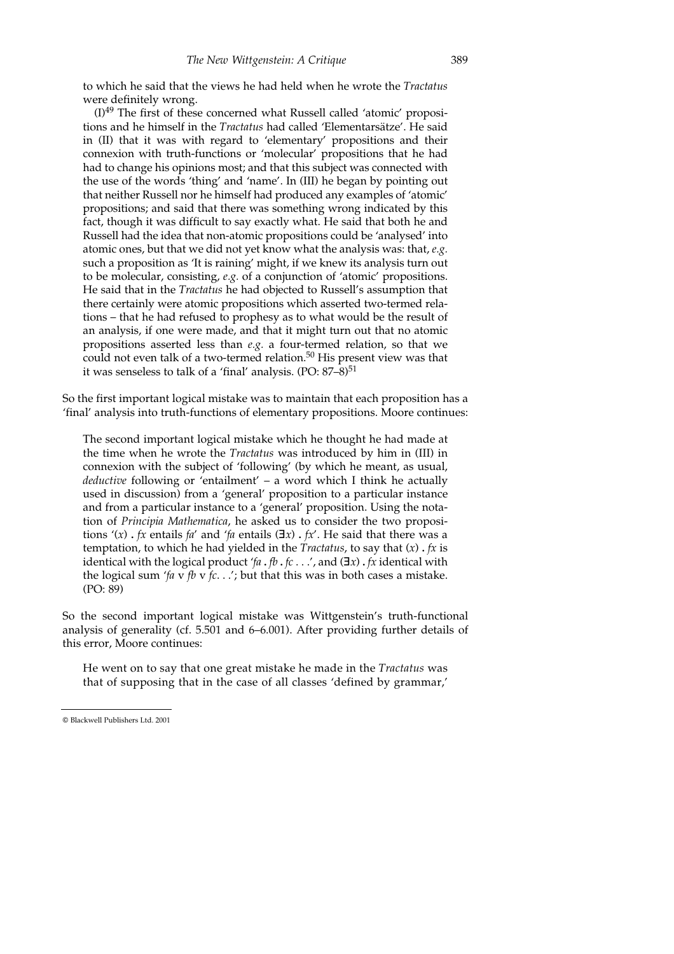to which he said that the views he had held when he wrote the *Tractatus* were definitely wrong.

(I)49 The first of these concerned what Russell called 'atomic' propositions and he himself in the *Tractatus* had called 'Elementarsätze'. He said in (II) that it was with regard to 'elementary' propositions and their connexion with truth-functions or 'molecular' propositions that he had had to change his opinions most; and that this subject was connected with the use of the words 'thing' and 'name'. In (III) he began by pointing out that neither Russell nor he himself had produced any examples of 'atomic' propositions; and said that there was something wrong indicated by this fact, though it was difficult to say exactly what. He said that both he and Russell had the idea that non-atomic propositions could be 'analysed' into atomic ones, but that we did not yet know what the analysis was: that, *e.g.* such a proposition as 'It is raining' might, if we knew its analysis turn out to be molecular, consisting, *e.g.* of a conjunction of 'atomic' propositions. He said that in the *Tractatus* he had objected to Russell's assumption that there certainly were atomic propositions which asserted two-termed relations – that he had refused to prophesy as to what would be the result of an analysis, if one were made, and that it might turn out that no atomic propositions asserted less than *e.g.* a four-termed relation, so that we could not even talk of a two-termed relation.<sup>50</sup> His present view was that it was senseless to talk of a 'final' analysis. (PO: 87-8)<sup>51</sup>

So the first important logical mistake was to maintain that each proposition has a 'final' analysis into truth-functions of elementary propositions. Moore continues:

The second important logical mistake which he thought he had made at the time when he wrote the *Tractatus* was introduced by him in (III) in connexion with the subject of 'following' (by which he meant, as usual, *deductive* following or 'entailment' – a word which I think he actually used in discussion) from a 'general' proposition to a particular instance and from a particular instance to a 'general' proposition. Using the notation of *Principia Mathematica*, he asked us to consider the two propositions '(*x*)  $\cdot$  *fx* entails *fa'* and '*fa* entails ( $\exists x$ )  $\cdot$  *fx'*. He said that there was a temptation, to which he had yielded in the *Tractatus*, to say that  $(x)$ .  $fx$  is identical with the logical product ' $fa$  **.**  $fb$  **.**  $fc$   $\ldots$ ', and  $(\exists x)$  **.**  $fx$  identical with the logical sum '*fa* v *fb* v *fc*. . .'; but that this was in both cases a mistake. (PO: 89)

So the second important logical mistake was Wittgenstein's truth-functional analysis of generality (cf. 5.501 and 6–6.001). After providing further details of this error, Moore continues:

He went on to say that one great mistake he made in the *Tractatus* was that of supposing that in the case of all classes 'defined by grammar,'

ã Blackwell Publishers Ltd. 2001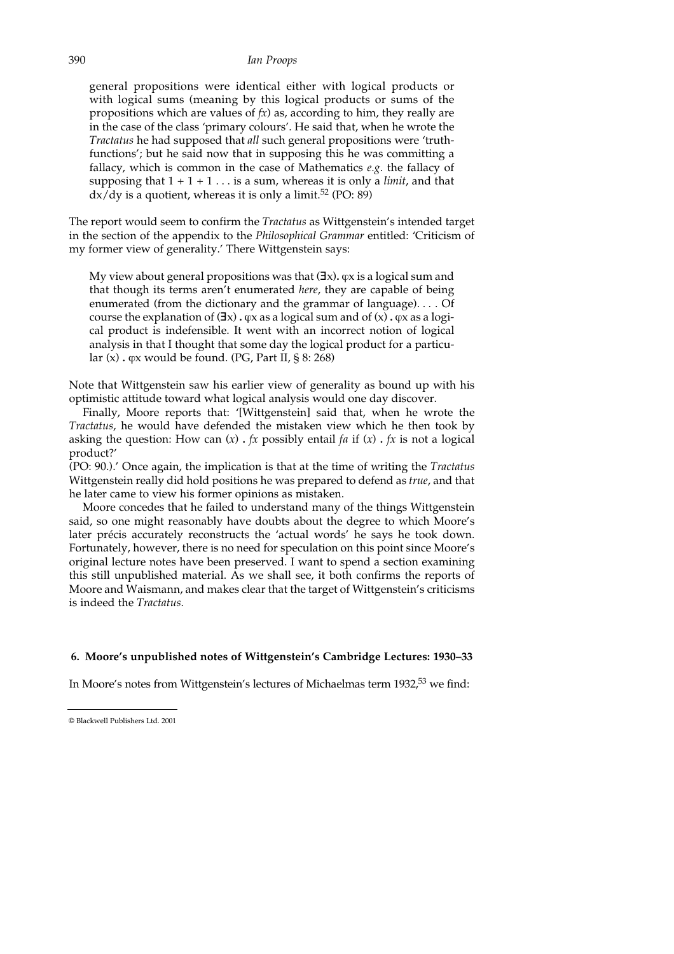## 390 *Ian Proops*

general propositions were identical either with logical products or with logical sums (meaning by this logical products or sums of the propositions which are values of *fx*) as, according to him, they really are in the case of the class 'primary colours'. He said that, when he wrote the *Tractatus* he had supposed that *all* such general propositions were 'truthfunctions'; but he said now that in supposing this he was committing a fallacy, which is common in the case of Mathematics *e.g*. the fallacy of supposing that  $1 + 1 + 1$ ... is a sum, whereas it is only a *limit*, and that  $dx/dy$  is a quotient, whereas it is only a limit.<sup>52</sup> (PO: 89)

The report would seem to confirm the *Tractatus* as Wittgenstein's intended target in the section of the appendix to the *Philosophical Grammar* entitled: 'Criticism of my former view of generality.' There Wittgenstein says:

My view about general propositions was that  $(\exists x)$ .  $\varphi x$  is a logical sum and that though its terms aren't enumerated *here*, they are capable of being enumerated (from the dictionary and the grammar of language). . . . Of course the explanation of  $(\exists x)$  **.**  $\varphi x$  as a logical sum and of  $(x)$  **.**  $\varphi x$  as a logical product is indefensible. It went with an incorrect notion of logical analysis in that I thought that some day the logical product for a particular (x)  $\cdot$   $\varphi$ x would be found. (PG, Part II, § 8: 268)

Note that Wittgenstein saw his earlier view of generality as bound up with his optimistic attitude toward what logical analysis would one day discover.

Finally, Moore reports that: '[Wittgenstein] said that, when he wrote the *Tractatus*, he would have defended the mistaken view which he then took by asking the question: How can  $(x)$  **.**  $f(x)$  possibly entail  $f(a)$  **i**  $f(x)$  **.**  $f(x)$  is not a logical product?'

(PO: 90.).' Once again, the implication is that at the time of writing the *Tractatus* Wittgenstein really did hold positions he was prepared to defend as *true*, and that he later came to view his former opinions as mistaken.

Moore concedes that he failed to understand many of the things Wittgenstein said, so one might reasonably have doubts about the degree to which Moore's later précis accurately reconstructs the 'actual words' he says he took down. Fortunately, however, there is no need for speculation on this point since Moore's original lecture notes have been preserved. I want to spend a section examining this still unpublished material. As we shall see, it both confirms the reports of Moore and Waismann, and makes clear that the target of Wittgenstein's criticisms is indeed the *Tractatus*.

## **6. Moore's unpublished notes of Wittgenstein's Cambridge Lectures: 1930–33**

In Moore's notes from Wittgenstein's lectures of Michaelmas term 1932,<sup>53</sup> we find:

ã Blackwell Publishers Ltd. 2001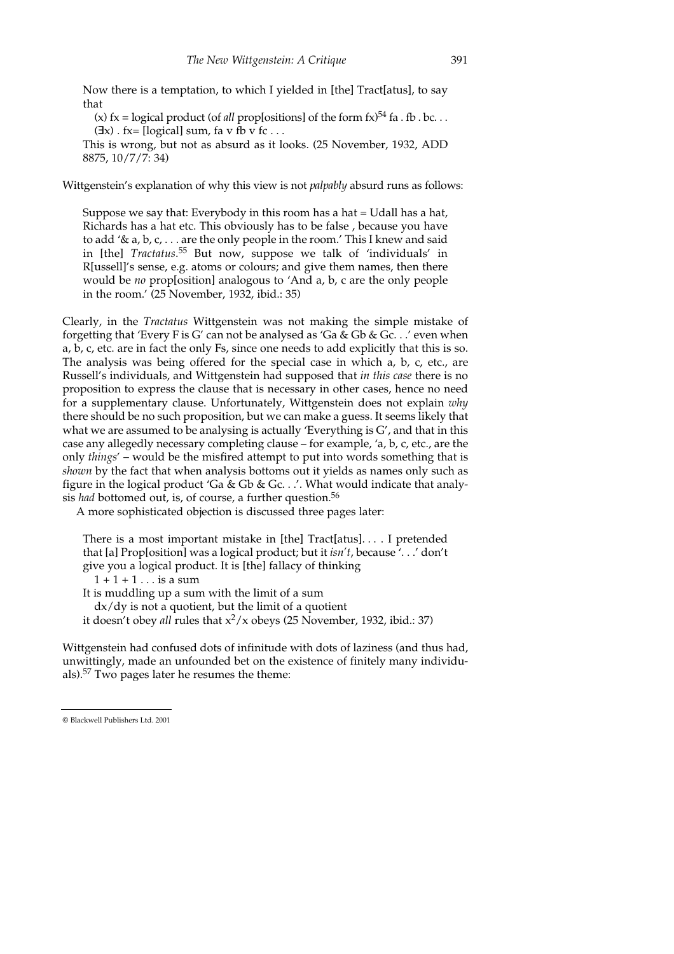Now there is a temptation, to which I yielded in [the] Tract[atus], to say that

(x)  $fx = logical product$  (of *all* prop[ositions] of the form  $fx$ <sup>54</sup> fa. fb. bc...  $(\exists x)$ . fx= [logical] sum, fa v fb v fc...

This is wrong, but not as absurd as it looks. (25 November, 1932, ADD 8875, 10/7/7: 34)

Wittgenstein's explanation of why this view is not *palpably* absurd runs as follows:

Suppose we say that: Everybody in this room has a hat  $=$  Udall has a hat, Richards has a hat etc. This obviously has to be false , because you have to add '& a, b, c, . . . are the only people in the room.' This I knew and said in [the] *Tractatus*. <sup>55</sup> But now, suppose we talk of 'individuals' in R[ussell]'s sense, e.g. atoms or colours; and give them names, then there would be *no* prop[osition] analogous to 'And a, b, c are the only people in the room.' (25 November, 1932, ibid.: 35)

Clearly, in the *Tractatus* Wittgenstein was not making the simple mistake of forgetting that 'Every F is G' can not be analysed as 'Ga & Gb & Gc. . .' even when a, b, c, etc. are in fact the only Fs, since one needs to add explicitly that this is so. The analysis was being offered for the special case in which a, b, c, etc., are Russell's individuals, and Wittgenstein had supposed that *in this case* there is no proposition to express the clause that is necessary in other cases, hence no need for a supplementary clause. Unfortunately, Wittgenstein does not explain *why* there should be no such proposition, but we can make a guess. It seems likely that what we are assumed to be analysing is actually 'Everything is G', and that in this case any allegedly necessary completing clause – for example, 'a, b, c, etc., are the only *things*' – would be the misfired attempt to put into words something that is *shown* by the fact that when analysis bottoms out it yields as names only such as figure in the logical product 'Ga & Gb & Gc. . .'. What would indicate that analysis *had* bottomed out, is, of course, a further question.56

A more sophisticated objection is discussed three pages later:

There is a most important mistake in [the] Tract[atus]. . . . I pretended that [a] Prop[osition] was a logical product; but it *isn't*, because '. . .' don't give you a logical product. It is [the] fallacy of thinking

 $1 + 1 + 1$ ... is a sum

It is muddling up a sum with the limit of a sum

 $dx/dy$  is not a quotient, but the limit of a quotient

it doesn't obey *all* rules that  $x^2/x$  obeys (25 November, 1932, ibid.: 37)

Wittgenstein had confused dots of infinitude with dots of laziness (and thus had, unwittingly, made an unfounded bet on the existence of finitely many individuals).57 Two pages later he resumes the theme:

ã Blackwell Publishers Ltd. 2001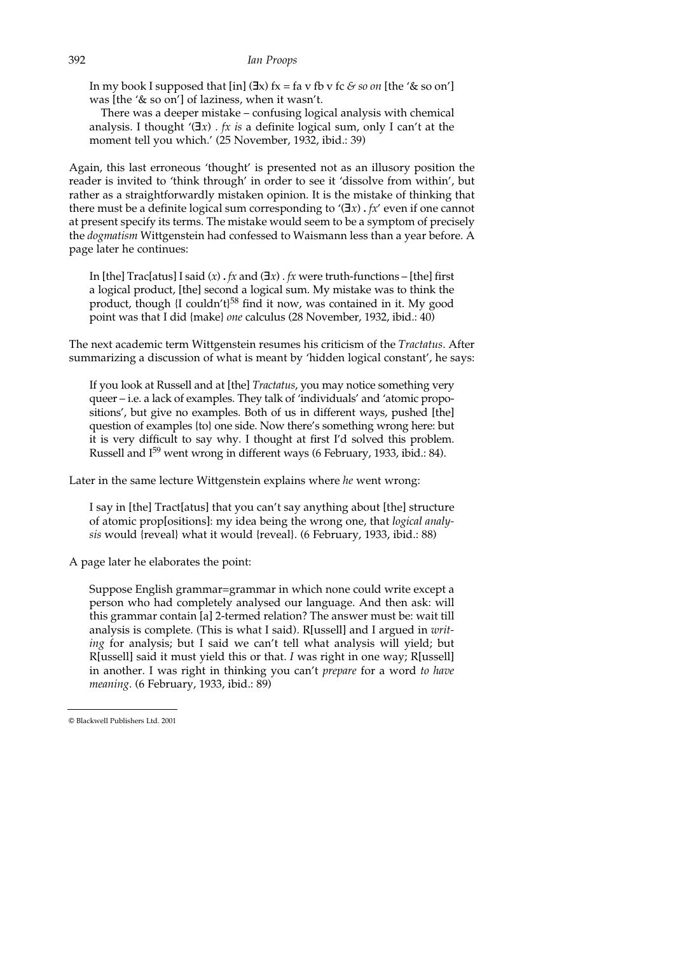In my book I supposed that  $\left[\text{in}\right]$  ( $\exists x$ ) fx = fa v fb v fc  $\&$  so on  $\left[\text{the '&}$  so on' $\right]$ was [the '& so on'] of laziness, when it wasn't.

There was a deeper mistake – confusing logical analysis with chemical analysis. I thought  $(\exists x)$ . *fx is* a definite logical sum, only I can't at the moment tell you which.' (25 November, 1932, ibid.: 39)

Again, this last erroneous 'thought' is presented not as an illusory position the reader is invited to 'think through' in order to see it 'dissolve from within', but rather as a straightforwardly mistaken opinion. It is the mistake of thinking that there must be a definite logical sum corresponding to  $(\exists x)$   $\cdot$   $f x'$  even if one cannot at present specify its terms. The mistake would seem to be a symptom of precisely the *dogmatism* Wittgenstein had confessed to Waismann less than a year before. A page later he continues:

In [the] Trac[atus] I said  $(x)$  **.**  $f x$  and  $(\exists x)$  .  $f x$  were truth-functions – [the] first a logical product, [the] second a logical sum. My mistake was to think the product, though {I couldn't}58 find it now, was contained in it. My good point was that I did {make} *one* calculus (28 November, 1932, ibid.: 40)

The next academic term Wittgenstein resumes his criticism of the *Tractatus*. After summarizing a discussion of what is meant by 'hidden logical constant', he says:

If you look at Russell and at [the] *Tractatus*, you may notice something very queer – i.e. a lack of examples. They talk of 'individuals' and 'atomic propositions', but give no examples. Both of us in different ways, pushed [the] question of examples {to} one side. Now there's something wrong here: but it is very difficult to say why. I thought at first I'd solved this problem. Russell and I59 went wrong in different ways (6 February, 1933, ibid.: 84).

Later in the same lecture Wittgenstein explains where *he* went wrong:

I say in [the] Tract[atus] that you can't say anything about [the] structure of atomic prop[ositions]: my idea being the wrong one, that *logical analysis* would {reveal} what it would {reveal}. (6 February, 1933, ibid.: 88)

A page later he elaborates the point:

Suppose English grammar=grammar in which none could write except a person who had completely analysed our language. And then ask: will this grammar contain [a] 2-termed relation? The answer must be: wait till analysis is complete. (This is what I said). R[ussell] and I argued in *writing* for analysis; but I said we can't tell what analysis will yield; but R[ussell] said it must yield this or that. *I* was right in one way; R[ussell] in another. I was right in thinking you can't *prepare* for a word *to have meaning*. (6 February, 1933, ibid.: 89)

ã Blackwell Publishers Ltd. 2001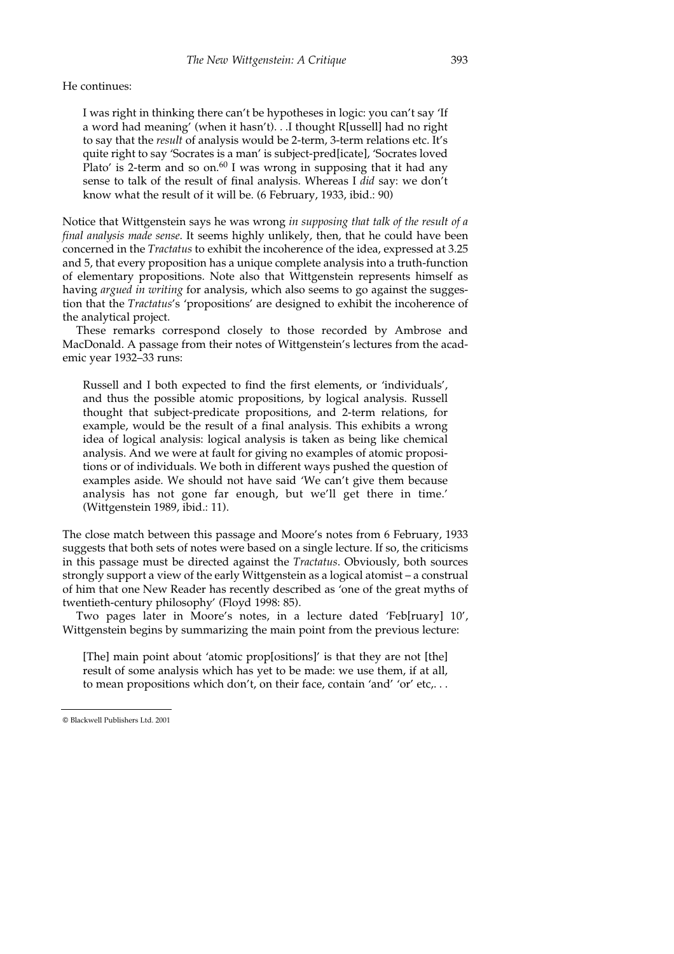He continues:

I was right in thinking there can't be hypotheses in logic: you can't say 'If a word had meaning' (when it hasn't). . .I thought R[ussell] had no right to say that the *result* of analysis would be 2-term, 3-term relations etc. It's quite right to say 'Socrates is a man' is subject-pred[icate], 'Socrates loved Plato' is 2-term and so on. $60$  I was wrong in supposing that it had any sense to talk of the result of final analysis. Whereas I *did* say: we don't know what the result of it will be. (6 February, 1933, ibid.: 90)

Notice that Wittgenstein says he was wrong *in supposing that talk of the result of a final analysis made sense*. It seems highly unlikely, then, that he could have been concerned in the *Tractatus* to exhibit the incoherence of the idea, expressed at 3.25 and 5, that every proposition has a unique complete analysis into a truth-function of elementary propositions. Note also that Wittgenstein represents himself as having *argued in writing* for analysis, which also seems to go against the suggestion that the *Tractatus*'s 'propositions' are designed to exhibit the incoherence of the analytical project.

These remarks correspond closely to those recorded by Ambrose and MacDonald. A passage from their notes of Wittgenstein's lectures from the academic year 1932–33 runs:

Russell and I both expected to find the first elements, or 'individuals', and thus the possible atomic propositions, by logical analysis. Russell thought that subject-predicate propositions, and 2-term relations, for example, would be the result of a final analysis. This exhibits a wrong idea of logical analysis: logical analysis is taken as being like chemical analysis. And we were at fault for giving no examples of atomic propositions or of individuals. We both in different ways pushed the question of examples aside. We should not have said 'We can't give them because analysis has not gone far enough, but we'll get there in time.' (Wittgenstein 1989, ibid.: 11).

The close match between this passage and Moore's notes from 6 February, 1933 suggests that both sets of notes were based on a single lecture. If so, the criticisms in this passage must be directed against the *Tractatus*. Obviously, both sources strongly support a view of the early Wittgenstein as a logical atomist – a construal of him that one New Reader has recently described as 'one of the great myths of twentieth-century philosophy' (Floyd 1998: 85).

Two pages later in Moore's notes, in a lecture dated 'Feb[ruary] 10', Wittgenstein begins by summarizing the main point from the previous lecture:

[The] main point about 'atomic prop[ositions]' is that they are not [the] result of some analysis which has yet to be made: we use them, if at all, to mean propositions which don't, on their face, contain 'and' 'or' etc,. . .

ã Blackwell Publishers Ltd. 2001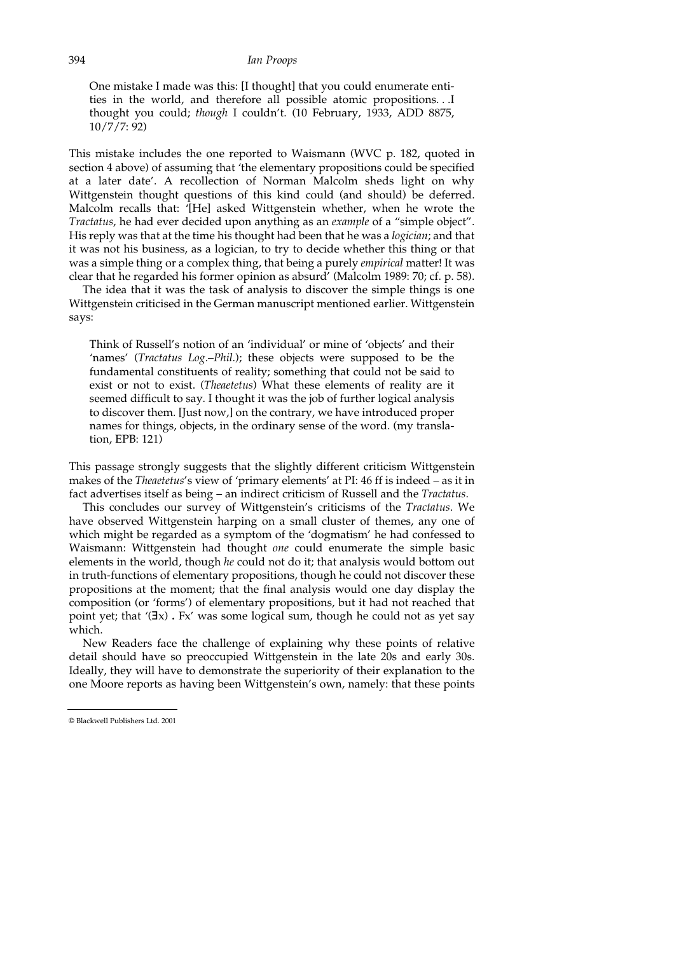## 394 *Ian Proops*

One mistake I made was this: [I thought] that you could enumerate entities in the world, and therefore all possible atomic propositions. . .I thought you could; *though* I couldn't. (10 February, 1933, ADD 8875, 10/7/7: 92)

This mistake includes the one reported to Waismann (WVC p. 182, quoted in section 4 above) of assuming that 'the elementary propositions could be specified at a later date'. A recollection of Norman Malcolm sheds light on why Wittgenstein thought questions of this kind could (and should) be deferred. Malcolm recalls that: '[He] asked Wittgenstein whether, when he wrote the *Tractatus*, he had ever decided upon anything as an *example* of a "simple object". His reply was that at the time his thought had been that he was a *logician*; and that it was not his business, as a logician, to try to decide whether this thing or that was a simple thing or a complex thing, that being a purely *empirical* matter! It was clear that he regarded his former opinion as absurd' (Malcolm 1989: 70; cf. p. 58).

The idea that it was the task of analysis to discover the simple things is one Wittgenstein criticised in the German manuscript mentioned earlier. Wittgenstein says:

Think of Russell's notion of an 'individual' or mine of 'objects' and their 'names' (*Tractatus Log.–Phil*.); these objects were supposed to be the fundamental constituents of reality; something that could not be said to exist or not to exist. (*Theaetetus*) What these elements of reality are it seemed difficult to say. I thought it was the job of further logical analysis to discover them. [Just now,] on the contrary, we have introduced proper names for things, objects, in the ordinary sense of the word. (my translation, EPB: 121)

This passage strongly suggests that the slightly different criticism Wittgenstein makes of the *Theaetetus*'s view of 'primary elements' at PI: 46 ff is indeed – as it in fact advertises itself as being – an indirect criticism of Russell and the *Tractatus*.

This concludes our survey of Wittgenstein's criticisms of the *Tractatus*. We have observed Wittgenstein harping on a small cluster of themes, any one of which might be regarded as a symptom of the 'dogmatism' he had confessed to Waismann: Wittgenstein had thought *one* could enumerate the simple basic elements in the world, though *he* could not do it; that analysis would bottom out in truth-functions of elementary propositions, though he could not discover these propositions at the moment; that the final analysis would one day display the composition (or 'forms') of elementary propositions, but it had not reached that point yet; that '( $\exists x$ ) . Fx' was some logical sum, though he could not as yet say which.

New Readers face the challenge of explaining why these points of relative detail should have so preoccupied Wittgenstein in the late 20s and early 30s. Ideally, they will have to demonstrate the superiority of their explanation to the one Moore reports as having been Wittgenstein's own, namely: that these points

ã Blackwell Publishers Ltd. 2001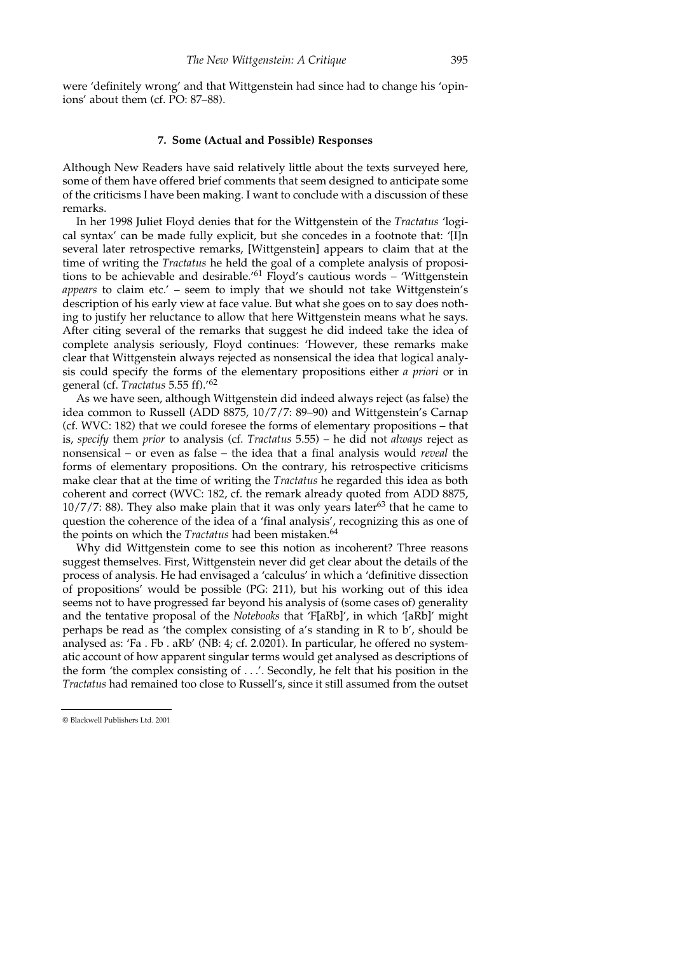were 'definitely wrong' and that Wittgenstein had since had to change his 'opinions' about them (cf. PO: 87–88).

#### **7. Some (Actual and Possible) Responses**

Although New Readers have said relatively little about the texts surveyed here, some of them have offered brief comments that seem designed to anticipate some of the criticisms I have been making. I want to conclude with a discussion of these remarks.

In her 1998 Juliet Floyd denies that for the Wittgenstein of the *Tractatus* 'logical syntax' can be made fully explicit, but she concedes in a footnote that: '[I]n several later retrospective remarks, [Wittgenstein] appears to claim that at the time of writing the *Tractatus* he held the goal of a complete analysis of propositions to be achievable and desirable.'61 Floyd's cautious words – 'Wittgenstein *appears* to claim etc.' – seem to imply that we should not take Wittgenstein's description of his early view at face value. But what she goes on to say does nothing to justify her reluctance to allow that here Wittgenstein means what he says. After citing several of the remarks that suggest he did indeed take the idea of complete analysis seriously, Floyd continues: 'However, these remarks make clear that Wittgenstein always rejected as nonsensical the idea that logical analysis could specify the forms of the elementary propositions either *a priori* or in general (cf. *Tractatus* 5.55 ff).'62

As we have seen, although Wittgenstein did indeed always reject (as false) the idea common to Russell (ADD 8875, 10/7/7: 89–90) and Wittgenstein's Carnap (cf. WVC: 182) that we could foresee the forms of elementary propositions – that is, *specify* them *prior* to analysis (cf. *Tractatus* 5.55) – he did not *always* reject as nonsensical – or even as false – the idea that a final analysis would *reveal* the forms of elementary propositions. On the contrary, his retrospective criticisms make clear that at the time of writing the *Tractatus* he regarded this idea as both coherent and correct (WVC: 182, cf. the remark already quoted from ADD 8875,  $10/7/7$ : 88). They also make plain that it was only years later<sup>63</sup> that he came to question the coherence of the idea of a 'final analysis', recognizing this as one of the points on which the *Tractatus* had been mistaken.<sup>64</sup>

Why did Wittgenstein come to see this notion as incoherent? Three reasons suggest themselves. First, Wittgenstein never did get clear about the details of the process of analysis. He had envisaged a 'calculus' in which a 'definitive dissection of propositions' would be possible (PG: 211), but his working out of this idea seems not to have progressed far beyond his analysis of (some cases of) generality and the tentative proposal of the *Notebooks* that 'F[aRb]', in which '[aRb]' might perhaps be read as 'the complex consisting of a's standing in R to b', should be analysed as: 'Fa . Fb . aRb' (NB: 4; cf. 2.0201). In particular, he offered no systematic account of how apparent singular terms would get analysed as descriptions of the form 'the complex consisting of . . .'. Secondly, he felt that his position in the *Tractatus* had remained too close to Russell's, since it still assumed from the outset

ã Blackwell Publishers Ltd. 2001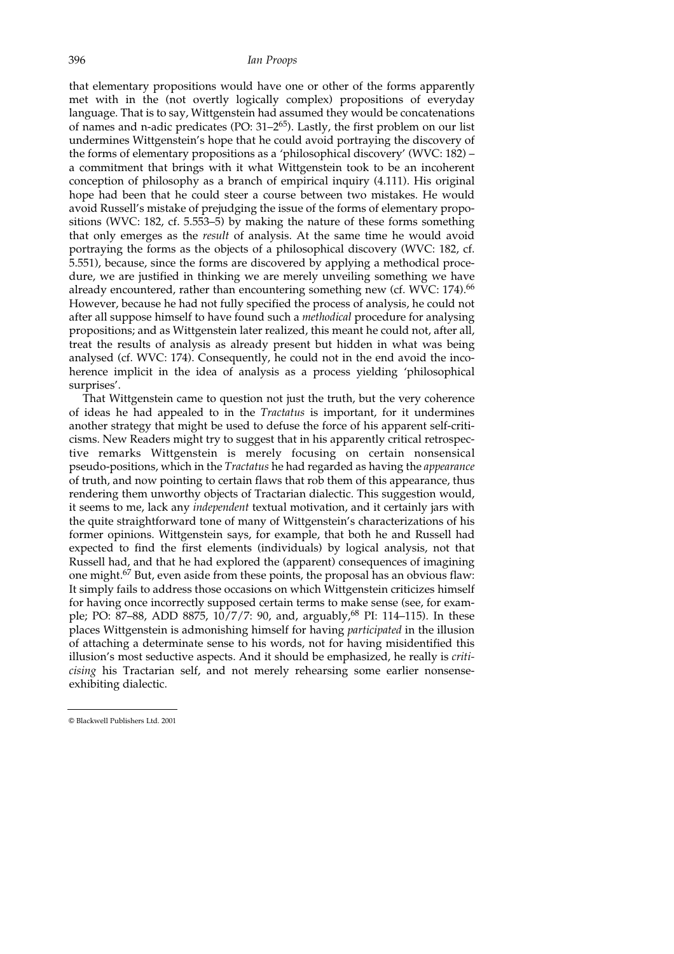that elementary propositions would have one or other of the forms apparently met with in the (not overtly logically complex) propositions of everyday language. That is to say, Wittgenstein had assumed they would be concatenations of names and n-adic predicates (PO: 31–265). Lastly, the first problem on our list undermines Wittgenstein's hope that he could avoid portraying the discovery of the forms of elementary propositions as a 'philosophical discovery' (WVC: 182) – a commitment that brings with it what Wittgenstein took to be an incoherent conception of philosophy as a branch of empirical inquiry (4.111). His original hope had been that he could steer a course between two mistakes. He would avoid Russell's mistake of prejudging the issue of the forms of elementary propositions (WVC: 182, cf. 5.553–5) by making the nature of these forms something that only emerges as the *result* of analysis. At the same time he would avoid portraying the forms as the objects of a philosophical discovery (WVC: 182, cf. 5.551), because, since the forms are discovered by applying a methodical procedure, we are justified in thinking we are merely unveiling something we have already encountered, rather than encountering something new (cf. WVC: 174).<sup>66</sup> However, because he had not fully specified the process of analysis, he could not after all suppose himself to have found such a *methodical* procedure for analysing propositions; and as Wittgenstein later realized, this meant he could not, after all, treat the results of analysis as already present but hidden in what was being analysed (cf. WVC: 174). Consequently, he could not in the end avoid the incoherence implicit in the idea of analysis as a process yielding 'philosophical surprises'.

That Wittgenstein came to question not just the truth, but the very coherence of ideas he had appealed to in the *Tractatus* is important, for it undermines another strategy that might be used to defuse the force of his apparent self-criticisms. New Readers might try to suggest that in his apparently critical retrospective remarks Wittgenstein is merely focusing on certain nonsensical pseudo-positions, which in the *Tractatus* he had regarded as having the *appearance* of truth, and now pointing to certain flaws that rob them of this appearance, thus rendering them unworthy objects of Tractarian dialectic. This suggestion would, it seems to me, lack any *independent* textual motivation, and it certainly jars with the quite straightforward tone of many of Wittgenstein's characterizations of his former opinions. Wittgenstein says, for example, that both he and Russell had expected to find the first elements (individuals) by logical analysis, not that Russell had, and that he had explored the (apparent) consequences of imagining one might.67 But, even aside from these points, the proposal has an obvious flaw: It simply fails to address those occasions on which Wittgenstein criticizes himself for having once incorrectly supposed certain terms to make sense (see, for example; PO: 87–88, ADD 8875, 10/7/7: 90, and, arguably,<sup>68</sup> PI: 114–115). In these places Wittgenstein is admonishing himself for having *participated* in the illusion of attaching a determinate sense to his words, not for having misidentified this illusion's most seductive aspects. And it should be emphasized, he really is *criticising* his Tractarian self, and not merely rehearsing some earlier nonsenseexhibiting dialectic.

ã Blackwell Publishers Ltd. 2001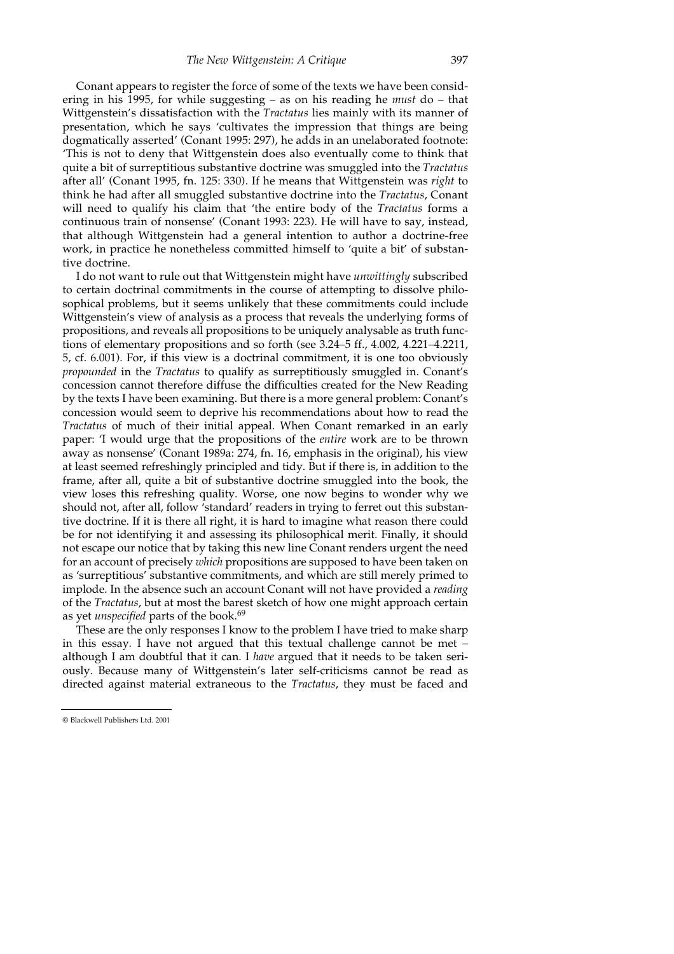Conant appears to register the force of some of the texts we have been considering in his 1995, for while suggesting – as on his reading he *must* do – that Wittgenstein's dissatisfaction with the *Tractatus* lies mainly with its manner of presentation, which he says 'cultivates the impression that things are being dogmatically asserted' (Conant 1995: 297), he adds in an unelaborated footnote: 'This is not to deny that Wittgenstein does also eventually come to think that quite a bit of surreptitious substantive doctrine was smuggled into the *Tractatus* after all' (Conant 1995, fn. 125: 330). If he means that Wittgenstein was *right* to think he had after all smuggled substantive doctrine into the *Tractatus*, Conant will need to qualify his claim that 'the entire body of the *Tractatus* forms a continuous train of nonsense' (Conant 1993: 223). He will have to say, instead, that although Wittgenstein had a general intention to author a doctrine-free work, in practice he nonetheless committed himself to 'quite a bit' of substantive doctrine.

I do not want to rule out that Wittgenstein might have *unwittingly* subscribed to certain doctrinal commitments in the course of attempting to dissolve philosophical problems, but it seems unlikely that these commitments could include Wittgenstein's view of analysis as a process that reveals the underlying forms of propositions, and reveals all propositions to be uniquely analysable as truth functions of elementary propositions and so forth (see 3.24–5 ff., 4.002, 4.221–4.2211, 5, cf. 6.001). For, if this view is a doctrinal commitment, it is one too obviously *propounded* in the *Tractatus* to qualify as surreptitiously smuggled in. Conant's concession cannot therefore diffuse the difficulties created for the New Reading by the texts I have been examining. But there is a more general problem: Conant's concession would seem to deprive his recommendations about how to read the *Tractatus* of much of their initial appeal. When Conant remarked in an early paper: 'I would urge that the propositions of the *entire* work are to be thrown away as nonsense' (Conant 1989a: 274, fn. 16, emphasis in the original), his view at least seemed refreshingly principled and tidy. But if there is, in addition to the frame, after all, quite a bit of substantive doctrine smuggled into the book, the view loses this refreshing quality. Worse, one now begins to wonder why we should not, after all, follow 'standard' readers in trying to ferret out this substantive doctrine. If it is there all right, it is hard to imagine what reason there could be for not identifying it and assessing its philosophical merit. Finally, it should not escape our notice that by taking this new line Conant renders urgent the need for an account of precisely *which* propositions are supposed to have been taken on as 'surreptitious' substantive commitments, and which are still merely primed to implode. In the absence such an account Conant will not have provided a *reading* of the *Tractatus*, but at most the barest sketch of how one might approach certain as yet *unspecified* parts of the book.<sup>69</sup>

These are the only responses I know to the problem I have tried to make sharp in this essay. I have not argued that this textual challenge cannot be met – although I am doubtful that it can. I *have* argued that it needs to be taken seriously. Because many of Wittgenstein's later self-criticisms cannot be read as directed against material extraneous to the *Tractatus*, they must be faced and

ã Blackwell Publishers Ltd. 2001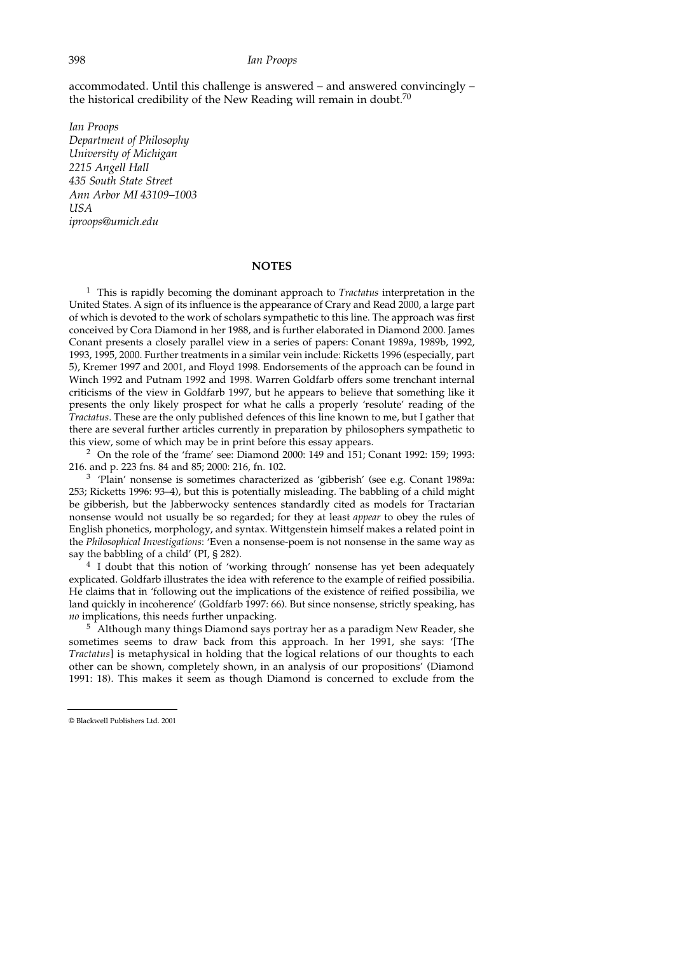#### 398 *Ian Proops*

accommodated. Until this challenge is answered – and answered convincingly – the historical credibility of the New Reading will remain in doubt.<sup>70</sup>

*Ian Proops Department of Philosophy University of Michigan 2215 Angell Hall 435 South State Street Ann Arbor MI 43109–1003 USA iproops@umich.edu*

## **NOTES**

<sup>1</sup> This is rapidly becoming the dominant approach to *Tractatus* interpretation in the United States. A sign of its influence is the appearance of Crary and Read 2000, a large part of which is devoted to the work of scholars sympathetic to this line. The approach was first conceived by Cora Diamond in her 1988, and is further elaborated in Diamond 2000. James Conant presents a closely parallel view in a series of papers: Conant 1989a, 1989b, 1992, 1993, 1995, 2000. Further treatments in a similar vein include: Ricketts 1996 (especially, part 5), Kremer 1997 and 2001, and Floyd 1998. Endorsements of the approach can be found in Winch 1992 and Putnam 1992 and 1998. Warren Goldfarb offers some trenchant internal criticisms of the view in Goldfarb 1997, but he appears to believe that something like it presents the only likely prospect for what he calls a properly 'resolute' reading of the *Tractatus*. These are the only published defences of this line known to me, but I gather that there are several further articles currently in preparation by philosophers sympathetic to this view, some of which may be in print before this essay appears.

<sup>2</sup> On the role of the 'frame' see: Diamond 2000: 149 and 151; Conant 1992: 159; 1993: 216. and p. 223 fns. 84 and 85; 2000: 216, fn. 102.

<sup>3</sup> 'Plain' nonsense is sometimes characterized as 'gibberish' (see e.g. Conant 1989a: 253; Ricketts 1996: 93–4), but this is potentially misleading. The babbling of a child might be gibberish, but the Jabberwocky sentences standardly cited as models for Tractarian nonsense would not usually be so regarded; for they at least *appear* to obey the rules of English phonetics, morphology, and syntax. Wittgenstein himself makes a related point in the *Philosophical Investigations*: 'Even a nonsense-poem is not nonsense in the same way as say the babbling of a child' (PI, § 282).

<sup>4</sup> I doubt that this notion of 'working through' nonsense has yet been adequately explicated. Goldfarb illustrates the idea with reference to the example of reified possibilia. He claims that in 'following out the implications of the existence of reified possibilia, we land quickly in incoherence' (Goldfarb 1997: 66). But since nonsense, strictly speaking, has *no* implications, this needs further unpacking.

<sup>5</sup> Although many things Diamond says portray her as a paradigm New Reader, she sometimes seems to draw back from this approach. In her 1991, she says: '[The *Tractatus*] is metaphysical in holding that the logical relations of our thoughts to each other can be shown, completely shown, in an analysis of our propositions' (Diamond 1991: 18). This makes it seem as though Diamond is concerned to exclude from the

ã Blackwell Publishers Ltd. 2001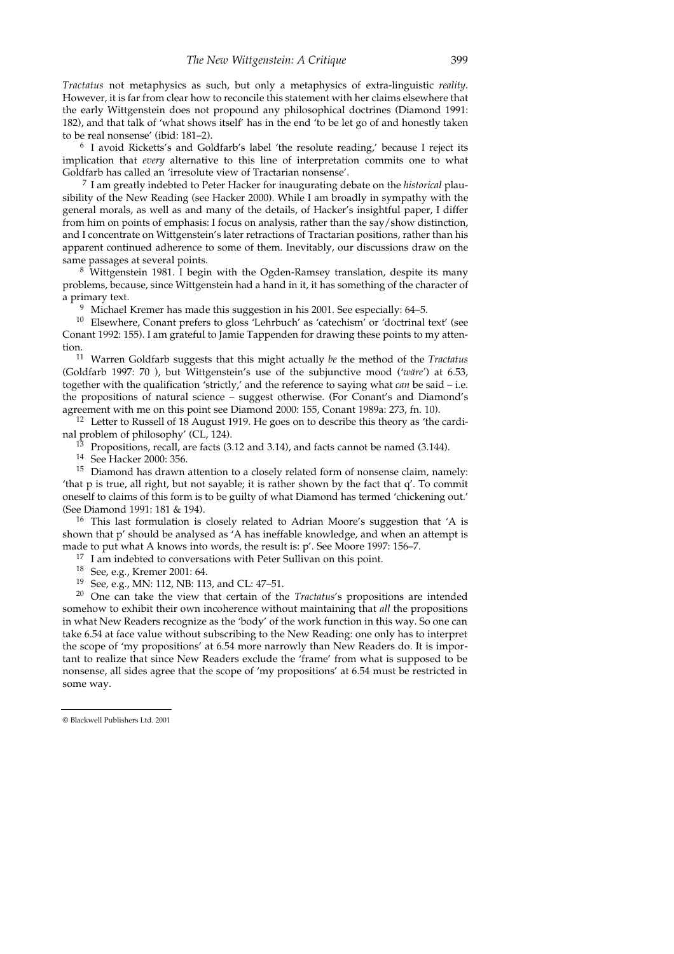*Tractatus* not metaphysics as such, but only a metaphysics of extra-linguistic *reality*. However, it is far from clear how to reconcile this statement with her claims elsewhere that the early Wittgenstein does not propound any philosophical doctrines (Diamond 1991: 182), and that talk of 'what shows itself' has in the end 'to be let go of and honestly taken to be real nonsense' (ibid: 181–2).

<sup>6</sup> I avoid Ricketts's and Goldfarb's label 'the resolute reading,' because I reject its implication that *every* alternative to this line of interpretation commits one to what Goldfarb has called an 'irresolute view of Tractarian nonsense'.

<sup>7</sup> I am greatly indebted to Peter Hacker for inaugurating debate on the *historical* plausibility of the New Reading (see Hacker 2000). While I am broadly in sympathy with the general morals, as well as and many of the details, of Hacker's insightful paper, I differ from him on points of emphasis: I focus on analysis, rather than the say/show distinction, and I concentrate on Wittgenstein's later retractions of Tractarian positions, rather than his apparent continued adherence to some of them. Inevitably, our discussions draw on the same passages at several points.

<sup>8</sup> Wittgenstein 1981. I begin with the Ogden-Ramsey translation, despite its many problems, because, since Wittgenstein had a hand in it, it has something of the character of a primary text.

<sup>9</sup> Michael Kremer has made this suggestion in his 2001. See especially: 64–5.

<sup>10</sup> Elsewhere, Conant prefers to gloss 'Lehrbuch' as 'catechism' or 'doctrinal text' (see Conant 1992: 155). I am grateful to Jamie Tappenden for drawing these points to my attention.

<sup>11</sup> Warren Goldfarb suggests that this might actually *be* the method of the *Tractatus* (Goldfarb 1997: 70 ), but Wittgenstein's use of the subjunctive mood ('*wäre'*) at 6.53, together with the qualification 'strictly,' and the reference to saying what *can* be said – i.e. the propositions of natural science – suggest otherwise. (For Conant's and Diamond's agreement with me on this point see Diamond 2000: 155, Conant 1989a: 273, fn. 10).

<sup>12</sup> Letter to Russell of 18 August 1919. He goes on to describe this theory as 'the cardinal problem of philosophy' (CL, 124).

 $13$  Propositions, recall, are facts (3.12 and 3.14), and facts cannot be named (3.144).

<sup>14</sup> See Hacker 2000: 356.

 $15$  Diamond has drawn attention to a closely related form of nonsense claim, namely: 'that p is true, all right, but not sayable; it is rather shown by the fact that q'. To commit oneself to claims of this form is to be guilty of what Diamond has termed 'chickening out.' (See Diamond 1991: 181 & 194).

<sup>16</sup> This last formulation is closely related to Adrian Moore's suggestion that 'A is shown that p' should be analysed as 'A has ineffable knowledge, and when an attempt is made to put what A knows into words, the result is: p'. See Moore 1997: 156–7.

 $17$  I am indebted to conversations with Peter Sullivan on this point.

- <sup>18</sup> See, e.g., Kremer 2001: 64.
- <sup>19</sup> See, e.g., MN: 112, NB: 113, and CL: 47–51.

<sup>20</sup> One can take the view that certain of the *Tractatus*'s propositions are intended somehow to exhibit their own incoherence without maintaining that *all* the propositions in what New Readers recognize as the 'body' of the work function in this way. So one can take 6.54 at face value without subscribing to the New Reading: one only has to interpret the scope of 'my propositions' at 6.54 more narrowly than New Readers do. It is important to realize that since New Readers exclude the 'frame' from what is supposed to be nonsense, all sides agree that the scope of 'my propositions' at 6.54 must be restricted in some way.

ã Blackwell Publishers Ltd. 2001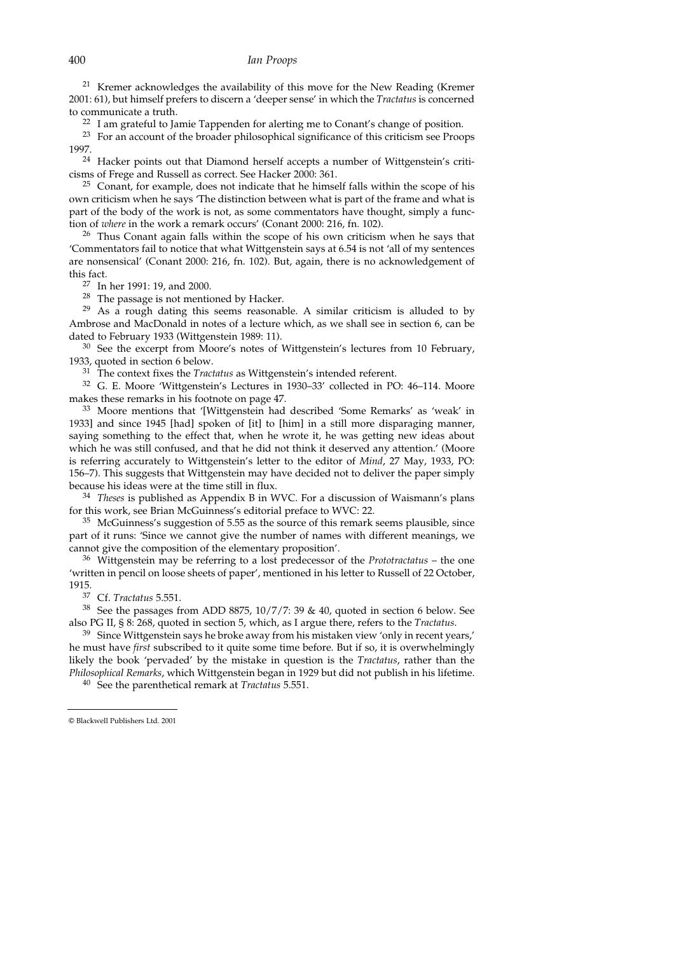<sup>21</sup> Kremer acknowledges the availability of this move for the New Reading (Kremer 2001: 61), but himself prefers to discern a 'deeper sense' in which the *Tractatus* is concerned to communicate a truth.

 $22$  I am grateful to Jamie Tappenden for alerting me to Conant's change of position.

<sup>23</sup> For an account of the broader philosophical significance of this criticism see Proops 1997.

<sup>24</sup> Hacker points out that Diamond herself accepts a number of Wittgenstein's criticisms of Frege and Russell as correct. See Hacker 2000: 361.

<sup>25</sup> Conant, for example, does not indicate that he himself falls within the scope of his own criticism when he says 'The distinction between what is part of the frame and what is part of the body of the work is not, as some commentators have thought, simply a function of *where* in the work a remark occurs' (Conant 2000: 216, fn. 102).

 $26$  Thus Conant again falls within the scope of his own criticism when he says that 'Commentators fail to notice that what Wittgenstein says at 6.54 is not 'all of my sentences are nonsensical' (Conant 2000: 216, fn. 102). But, again, there is no acknowledgement of this fact.

<sup>27</sup> In her 1991: 19, and 2000.

<sup>28</sup> The passage is not mentioned by Hacker.

 $29$  As a rough dating this seems reasonable. A similar criticism is alluded to by Ambrose and MacDonald in notes of a lecture which, as we shall see in section 6, can be dated to February 1933 (Wittgenstein 1989: 11).

 $30$  See the excerpt from Moore's notes of Wittgenstein's lectures from 10 February, 1933, quoted in section 6 below.

<sup>31</sup> The context fixes the *Tractatus* as Wittgenstein's intended referent.

<sup>32</sup> G. E. Moore 'Wittgenstein's Lectures in 1930–33' collected in PO: 46–114. Moore makes these remarks in his footnote on page 47.

<sup>33</sup> Moore mentions that '[Wittgenstein had described 'Some Remarks' as 'weak' in 1933] and since 1945 [had] spoken of [it] to [him] in a still more disparaging manner, saying something to the effect that, when he wrote it, he was getting new ideas about which he was still confused, and that he did not think it deserved any attention.' (Moore is referring accurately to Wittgenstein's letter to the editor of *Mind*, 27 May, 1933, PO: 156–7). This suggests that Wittgenstein may have decided not to deliver the paper simply because his ideas were at the time still in flux.

<sup>34</sup> *Theses* is published as Appendix B in WVC. For a discussion of Waismann's plans for this work, see Brian McGuinness's editorial preface to WVC: 22.

 $35$  McGuinness's suggestion of 5.55 as the source of this remark seems plausible, since part of it runs: 'Since we cannot give the number of names with different meanings, we cannot give the composition of the elementary proposition'.

<sup>36</sup> Wittgenstein may be referring to a lost predecessor of the *Prototractatus* – the one 'written in pencil on loose sheets of paper', mentioned in his letter to Russell of 22 October, 1915.

<sup>37</sup> Cf. *Tractatus* 5.551.

 $38$  See the passages from ADD 8875,  $10/7/7$ :  $39$  & 40, quoted in section 6 below. See also PG II, § 8: 268, quoted in section 5, which, as I argue there, refers to the *Tractatus*.

 $39$  Since Wittgenstein says he broke away from his mistaken view 'only in recent years,' he must have *first* subscribed to it quite some time before. But if so, it is overwhelmingly likely the book 'pervaded' by the mistake in question is the *Tractatus*, rather than the *Philosophical Remarks*, which Wittgenstein began in 1929 but did not publish in his lifetime.

<sup>40</sup> See the parenthetical remark at *Tractatus* 5.551.

ã Blackwell Publishers Ltd. 2001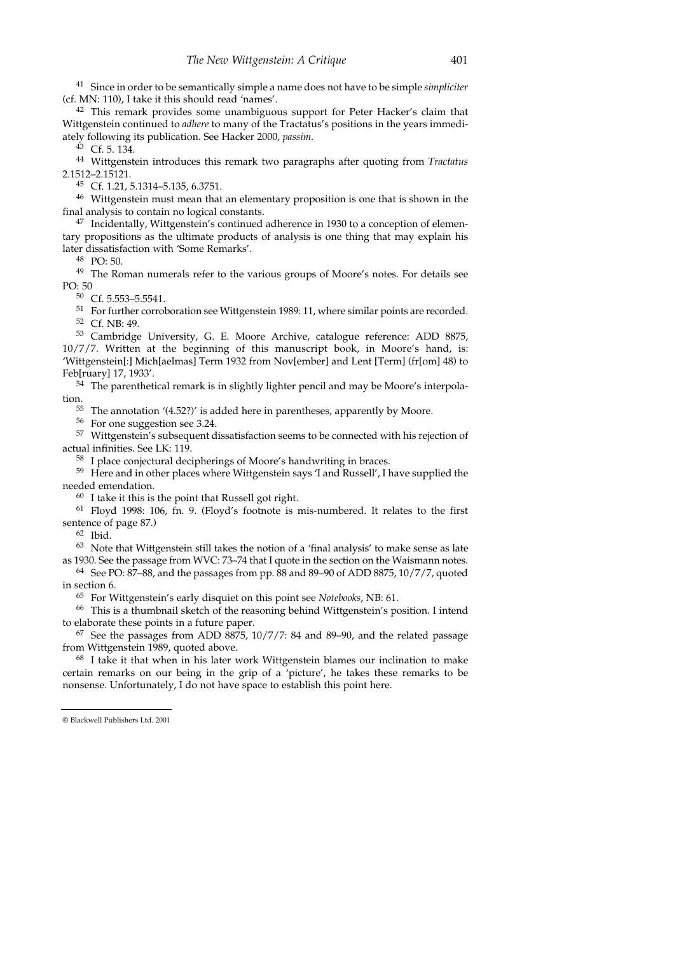<sup>41</sup> Since in order to be semantically simple a name does not have to be simple *simpliciter* (cf. MN: 110), I take it this should read 'names'.

<sup>42</sup> This remark provides some unambiguous support for Peter Hacker's claim that Wittgenstein continued to *adhere* to many of the Tractatus's positions in the years immediately following its publication. See Hacker 2000, *passim*.

<sup>43</sup> Cf. 5. 134.

<sup>44</sup> Wittgenstein introduces this remark two paragraphs after quoting from *Tractatus* 2.1512–2.15121.

<sup>45</sup> Cf. 1.21, 5.1314–5.135, 6.3751.

<sup>46</sup> Wittgenstein must mean that an elementary proposition is one that is shown in the final analysis to contain no logical constants.

<sup>47</sup> Incidentally, Wittgenstein's continued adherence in 1930 to a conception of elementary propositions as the ultimate products of analysis is one thing that may explain his later dissatisfaction with 'Some Remarks'.

<sup>48</sup> PO: 50.

<sup>49</sup> The Roman numerals refer to the various groups of Moore's notes. For details see PO: 50

<sup>50</sup> Cf. 5.553–5.5541.

<sup>51</sup> For further corroboration see Wittgenstein 1989: 11, where similar points are recorded. <sup>52</sup> Cf. NB: 49.

<sup>53</sup> Cambridge University, G. E. Moore Archive, catalogue reference: ADD 8875, 10/7/7. Written at the beginning of this manuscript book, in Moore's hand, is: 'Wittgenstein[:] Mich[aelmas] Term 1932 from Nov[ember] and Lent [Term] (fr[om] 48) to Feb[ruary] 17, 1933'.

<sup>54</sup> The parenthetical remark is in slightly lighter pencil and may be Moore's interpolation.

<sup>55</sup> The annotation '(4.52?)' is added here in parentheses, apparently by Moore.

<sup>56</sup> For one suggestion see 3.24.

<sup>57</sup> Wittgenstein's subsequent dissatisfaction seems to be connected with his rejection of actual infinities. See LK: 119.

<sup>58</sup> I place conjectural decipherings of Moore's handwriting in braces.

<sup>59</sup> Here and in other places where Wittgenstein says 'I and Russell', I have supplied the needed emendation.

 $60$  I take it this is the point that Russell got right.

<sup>61</sup> Floyd 1998: 106, fn. 9. (Floyd's footnote is mis-numbered. It relates to the first sentence of page 87.)

<sup>62</sup> Ibid.

 $63$  Note that Wittgenstein still takes the notion of a 'final analysis' to make sense as late as 1930. See the passage from WVC: 73–74 that I quote in the section on the Waismann notes.

<sup>64</sup> See PO: 87–88, and the passages from pp. 88 and 89–90 of ADD 8875, 10/7/7, quoted in section 6.

<sup>65</sup> For Wittgenstein's early disquiet on this point see *Notebooks*, NB: 61.

<sup>66</sup> This is a thumbnail sketch of the reasoning behind Wittgenstein's position. I intend to elaborate these points in a future paper.

 $67$  See the passages from ADD 8875,  $10/7/7$ : 84 and 89–90, and the related passage from Wittgenstein 1989, quoted above.

<sup>68</sup> I take it that when in his later work Wittgenstein blames our inclination to make certain remarks on our being in the grip of a 'picture', he takes these remarks to be nonsense. Unfortunately, I do not have space to establish this point here.

 $© Blackwell Publishers Ltd. 2001$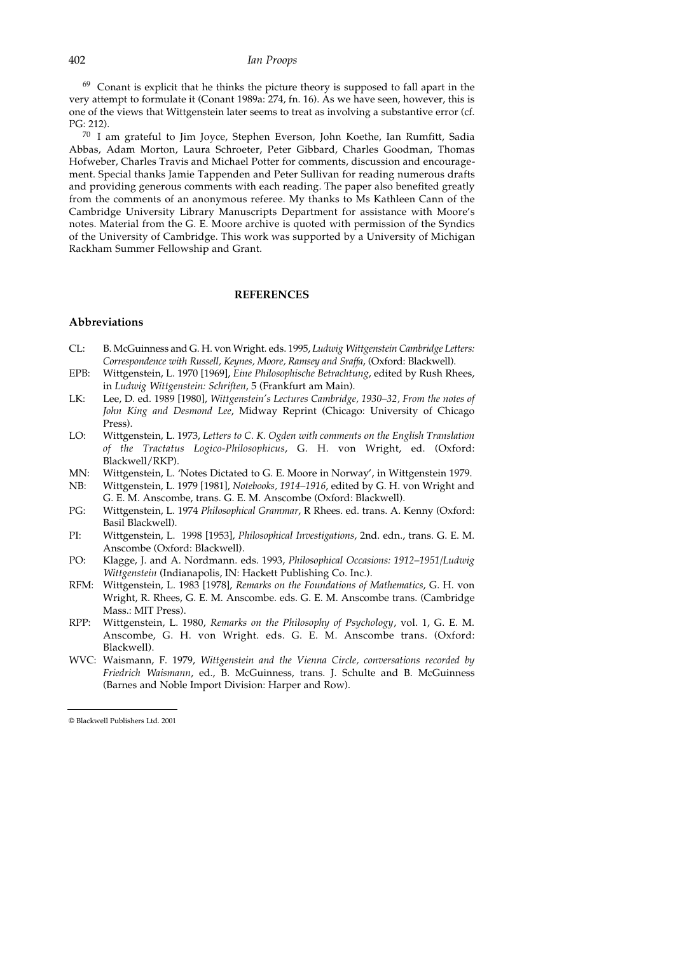$69$  Conant is explicit that he thinks the picture theory is supposed to fall apart in the very attempt to formulate it (Conant 1989a: 274, fn. 16). As we have seen, however, this is one of the views that Wittgenstein later seems to treat as involving a substantive error (cf. PG: 212).

 $70$  I am grateful to Jim Joyce, Stephen Everson, John Koethe, Ian Rumfitt, Sadia Abbas, Adam Morton, Laura Schroeter, Peter Gibbard, Charles Goodman, Thomas Hofweber, Charles Travis and Michael Potter for comments, discussion and encouragement. Special thanks Jamie Tappenden and Peter Sullivan for reading numerous drafts and providing generous comments with each reading. The paper also benefited greatly from the comments of an anonymous referee. My thanks to Ms Kathleen Cann of the Cambridge University Library Manuscripts Department for assistance with Moore's notes. Material from the G. E. Moore archive is quoted with permission of the Syndics of the University of Cambridge. This work was supported by a University of Michigan Rackham Summer Fellowship and Grant.

## **REFERENCES**

## **Abbreviations**

- CL: B. McGuinness and G. H. von Wright. eds. 1995, *Ludwig Wittgenstein Cambridge Letters: Correspondence with Russell, Keynes, Moore, Ramsey and Sraffa*, (Oxford: Blackwell).
- EPB: Wittgenstein, L. 1970 [1969], *Eine Philosophische Betrachtung*, edited by Rush Rhees, in *Ludwig Wittgenstein: Schriften*, 5 (Frankfurt am Main).
- LK: Lee, D. ed. 1989 [1980], *Wittgenstein's Lectures Cambridge, 1930–32, From the notes of John King and Desmond Lee*, Midway Reprint (Chicago: University of Chicago Press).
- LO: Wittgenstein, L. 1973, *Letters to C. K. Ogden with comments on the English Translation of the Tractatus Logico-Philosophicus*, G. H. von Wright, ed. (Oxford: Blackwell/RKP).
- MN: Wittgenstein, L. 'Notes Dictated to G. E. Moore in Norway', in Wittgenstein 1979.
- NB: Wittgenstein, L. 1979 [1981], *Notebooks, 1914–1916*, edited by G. H. von Wright and G. E. M. Anscombe, trans. G. E. M. Anscombe (Oxford: Blackwell).
- PG: Wittgenstein, L. 1974 *Philosophical Grammar*, R Rhees. ed. trans. A. Kenny (Oxford: Basil Blackwell).
- PI: Wittgenstein, L. 1998 [1953], *Philosophical Investigations*, 2nd. edn., trans. G. E. M. Anscombe (Oxford: Blackwell).
- PO: Klagge, J. and A. Nordmann. eds. 1993, *Philosophical Occasions: 1912–1951/Ludwig Wittgenstein* (Indianapolis, IN: Hackett Publishing Co. Inc.).
- RFM: Wittgenstein, L. 1983 [1978], *Remarks on the Foundations of Mathematics*, G. H. von Wright, R. Rhees, G. E. M. Anscombe. eds. G. E. M. Anscombe trans. (Cambridge Mass.: MIT Press).
- RPP: Wittgenstein, L. 1980, *Remarks on the Philosophy of Psychology*, vol. 1, G. E. M. Anscombe, G. H. von Wright. eds. G. E. M. Anscombe trans. (Oxford: Blackwell).
- WVC: Waismann, F. 1979, *Wittgenstein and the Vienna Circle, conversations recorded by Friedrich Waismann*, ed., B. McGuinness, trans. J. Schulte and B. McGuinness (Barnes and Noble Import Division: Harper and Row).

ã Blackwell Publishers Ltd. 2001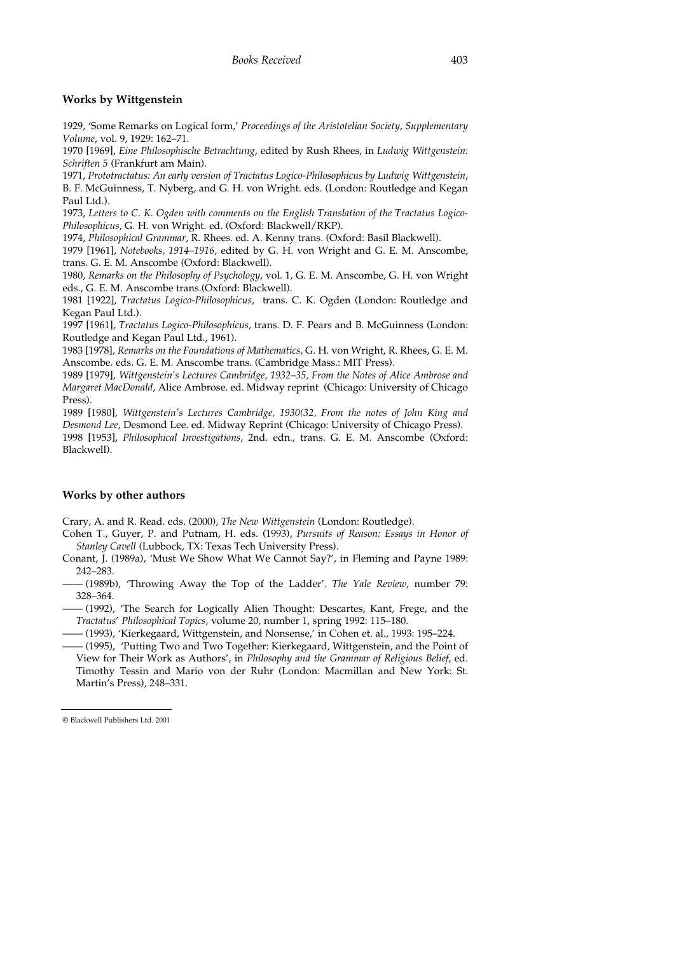## **Works by Wittgenstein**

1929, 'Some Remarks on Logical form,' *Proceedings of the Aristotelian Society*, *Supplementary Volume*, vol. 9, 1929: 162–71.

1970 [1969], *Eine Philosophische Betrachtung*, edited by Rush Rhees, in *Ludwig Wittgenstein: Schriften 5* (Frankfurt am Main).

1971, *Prototractatus: An early version of Tractatus Logico-Philosophicus by Ludwig Wittgenstein*,

B. F. McGuinness, T. Nyberg, and G. H. von Wright. eds. (London: Routledge and Kegan Paul Ltd.).

1973, *Letters to C. K. Ogden with comments on the English Translation of the Tractatus Logico-Philosophicus*, G. H. von Wright. ed. (Oxford: Blackwell/RKP).

1974, *Philosophical Grammar*, R. Rhees. ed. A. Kenny trans. (Oxford: Basil Blackwell).

1979 [1961], *Notebooks, 1914–1916*, edited by G. H. von Wright and G. E. M. Anscombe, trans. G. E. M. Anscombe (Oxford: Blackwell).

1980, *Remarks on the Philosophy of Psychology*, vol. 1, G. E. M. Anscombe, G. H. von Wright eds., G. E. M. Anscombe trans.(Oxford: Blackwell).

1981 [1922], *Tractatus Logico-Philosophicus*, trans. C. K. Ogden (London: Routledge and Kegan Paul Ltd.).

1997 [1961], *Tractatus Logico-Philosophicus*, trans. D. F. Pears and B. McGuinness (London: Routledge and Kegan Paul Ltd., 1961).

1983 [1978], *Remarks on the Foundations of Mathematics*, G. H. von Wright, R. Rhees, G. E. M. Anscombe. eds. G. E. M. Anscombe trans. (Cambridge Mass.: MIT Press).

1989 [1979], *Wittgenstein's Lectures Cambridge, 1932–35, From the Notes of Alice Ambrose and Margaret MacDonald*, Alice Ambrose. ed. Midway reprint (Chicago: University of Chicago Press).

1989 [1980], *Wittgenstein's Lectures Cambridge, 1930(32, From the notes of John King and Desmond Lee*, Desmond Lee. ed. Midway Reprint (Chicago: University of Chicago Press). 1998 [1953], *Philosophical Investigations*, 2nd. edn., trans. G. E. M. Anscombe (Oxford: Blackwell).

## **Works by other authors**

Crary, A. and R. Read. eds. (2000), *The New Wittgenstein* (London: Routledge).

- Cohen T., Guyer, P. and Putnam, H. eds. (1993), *Pursuits of Reason: Essays in Honor of Stanley Cavell* (Lubbock, TX: Texas Tech University Press).
- Conant, J. (1989a), 'Must We Show What We Cannot Say?', in Fleming and Payne 1989: 242–283.
- —— (1989b), 'Throwing Away the Top of the Ladder'. *The Yale Review*, number 79: 328–364.
- —— (1992), 'The Search for Logically Alien Thought: Descartes, Kant, Frege, and the *Tractatus*' *Philosophical Topics*, volume 20, number 1, spring 1992: 115–180.
- —— (1993), 'Kierkegaard, Wittgenstein, and Nonsense,' in Cohen et. al., 1993: 195–224.

—— (1995), 'Putting Two and Two Together: Kierkegaard, Wittgenstein, and the Point of View for Their Work as Authors', in *Philosophy and the Grammar of Religious Belief*, ed. Timothy Tessin and Mario von der Ruhr (London: Macmillan and New York: St. Martin's Press), 248–331.

ã Blackwell Publishers Ltd. 2001